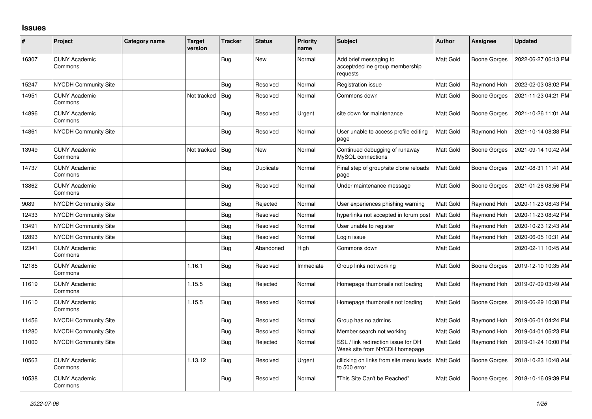## **Issues**

| ∦     | Project                         | Category name | <b>Target</b><br>version | <b>Tracker</b> | <b>Status</b> | Priority<br>name | <b>Subject</b>                                                        | <b>Author</b>    | <b>Assignee</b>     | <b>Updated</b>      |
|-------|---------------------------------|---------------|--------------------------|----------------|---------------|------------------|-----------------------------------------------------------------------|------------------|---------------------|---------------------|
| 16307 | <b>CUNY Academic</b><br>Commons |               |                          | Bug            | <b>New</b>    | Normal           | Add brief messaging to<br>accept/decline group membership<br>requests | Matt Gold        | <b>Boone Gorges</b> | 2022-06-27 06:13 PM |
| 15247 | NYCDH Community Site            |               |                          | Bug            | Resolved      | Normal           | Registration issue                                                    | Matt Gold        | Raymond Hoh         | 2022-02-03 08:02 PM |
| 14951 | <b>CUNY Academic</b><br>Commons |               | Not tracked   Bug        |                | Resolved      | Normal           | Commons down                                                          | <b>Matt Gold</b> | <b>Boone Gorges</b> | 2021-11-23 04:21 PM |
| 14896 | <b>CUNY Academic</b><br>Commons |               |                          | Bug            | Resolved      | Urgent           | site down for maintenance                                             | Matt Gold        | Boone Gorges        | 2021-10-26 11:01 AM |
| 14861 | NYCDH Community Site            |               |                          | <b>Bug</b>     | Resolved      | Normal           | User unable to access profile editing<br>page                         | Matt Gold        | Raymond Hoh         | 2021-10-14 08:38 PM |
| 13949 | <b>CUNY Academic</b><br>Commons |               | Not tracked   Bug        |                | New           | Normal           | Continued debugging of runaway<br>MySQL connections                   | Matt Gold        | Boone Gorges        | 2021-09-14 10:42 AM |
| 14737 | <b>CUNY Academic</b><br>Commons |               |                          | Bug            | Duplicate     | Normal           | Final step of group/site clone reloads<br>page                        | Matt Gold        | Boone Gorges        | 2021-08-31 11:41 AM |
| 13862 | <b>CUNY Academic</b><br>Commons |               |                          | Bug            | Resolved      | Normal           | Under maintenance message                                             | Matt Gold        | Boone Gorges        | 2021-01-28 08:56 PM |
| 9089  | NYCDH Community Site            |               |                          | <b>Bug</b>     | Rejected      | Normal           | User experiences phishing warning                                     | Matt Gold        | Raymond Hoh         | 2020-11-23 08:43 PM |
| 12433 | <b>NYCDH Community Site</b>     |               |                          | <b>Bug</b>     | Resolved      | Normal           | hyperlinks not accepted in forum post                                 | Matt Gold        | Raymond Hoh         | 2020-11-23 08:42 PM |
| 13491 | NYCDH Community Site            |               |                          | Bug            | Resolved      | Normal           | User unable to register                                               | Matt Gold        | Raymond Hoh         | 2020-10-23 12:43 AM |
| 12893 | <b>NYCDH Community Site</b>     |               |                          | Bug            | Resolved      | Normal           | Login issue                                                           | Matt Gold        | Raymond Hoh         | 2020-06-05 10:31 AM |
| 12341 | <b>CUNY Academic</b><br>Commons |               |                          | <b>Bug</b>     | Abandoned     | High             | Commons down                                                          | Matt Gold        |                     | 2020-02-11 10:45 AM |
| 12185 | <b>CUNY Academic</b><br>Commons |               | 1.16.1                   | Bug            | Resolved      | Immediate        | Group links not working                                               | <b>Matt Gold</b> | Boone Gorges        | 2019-12-10 10:35 AM |
| 11619 | <b>CUNY Academic</b><br>Commons |               | 1.15.5                   | <b>Bug</b>     | Rejected      | Normal           | Homepage thumbnails not loading                                       | Matt Gold        | Raymond Hoh         | 2019-07-09 03:49 AM |
| 11610 | <b>CUNY Academic</b><br>Commons |               | 1.15.5                   | Bug            | Resolved      | Normal           | Homepage thumbnails not loading                                       | Matt Gold        | Boone Gorges        | 2019-06-29 10:38 PM |
| 11456 | <b>NYCDH Community Site</b>     |               |                          | <b>Bug</b>     | Resolved      | Normal           | Group has no admins                                                   | Matt Gold        | Raymond Hoh         | 2019-06-01 04:24 PM |
| 11280 | NYCDH Community Site            |               |                          | <b>Bug</b>     | Resolved      | Normal           | Member search not working                                             | Matt Gold        | Raymond Hoh         | 2019-04-01 06:23 PM |
| 11000 | NYCDH Community Site            |               |                          | Bug            | Rejected      | Normal           | SSL / link redirection issue for DH<br>Week site from NYCDH homepage  | Matt Gold        | Raymond Hoh         | 2019-01-24 10:00 PM |
| 10563 | <b>CUNY Academic</b><br>Commons |               | 1.13.12                  | Bug            | Resolved      | Urgent           | cllicking on links from site menu leads<br>to 500 error               | Matt Gold        | Boone Gorges        | 2018-10-23 10:48 AM |
| 10538 | <b>CUNY Academic</b><br>Commons |               |                          | Bug            | Resolved      | Normal           | 'This Site Can't be Reached"                                          | Matt Gold        | Boone Gorges        | 2018-10-16 09:39 PM |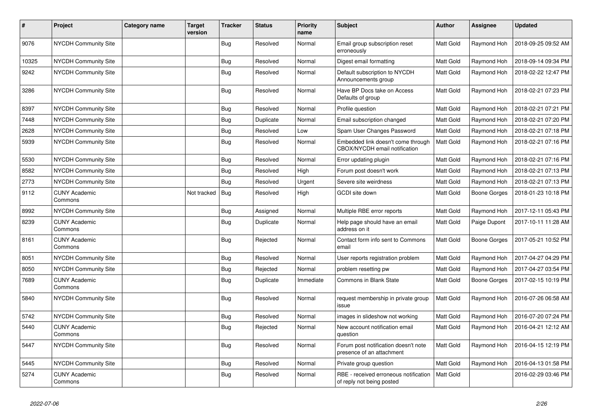| #     | Project                         | <b>Category name</b> | <b>Target</b><br>version | <b>Tracker</b> | <b>Status</b> | <b>Priority</b><br>name | <b>Subject</b>                                                      | <b>Author</b>    | Assignee            | <b>Updated</b>      |
|-------|---------------------------------|----------------------|--------------------------|----------------|---------------|-------------------------|---------------------------------------------------------------------|------------------|---------------------|---------------------|
| 9076  | <b>NYCDH Community Site</b>     |                      |                          | <b>Bug</b>     | Resolved      | Normal                  | Email group subscription reset<br>erroneously                       | Matt Gold        | Raymond Hoh         | 2018-09-25 09:52 AM |
| 10325 | <b>NYCDH Community Site</b>     |                      |                          | <b>Bug</b>     | Resolved      | Normal                  | Digest email formatting                                             | Matt Gold        | Raymond Hoh         | 2018-09-14 09:34 PM |
| 9242  | <b>NYCDH Community Site</b>     |                      |                          | Bug            | Resolved      | Normal                  | Default subscription to NYCDH<br>Announcements group                | <b>Matt Gold</b> | Raymond Hoh         | 2018-02-22 12:47 PM |
| 3286  | <b>NYCDH Community Site</b>     |                      |                          | Bug            | Resolved      | Normal                  | Have BP Docs take on Access<br>Defaults of group                    | Matt Gold        | Raymond Hoh         | 2018-02-21 07:23 PM |
| 8397  | NYCDH Community Site            |                      |                          | Bug            | Resolved      | Normal                  | Profile question                                                    | Matt Gold        | Raymond Hoh         | 2018-02-21 07:21 PM |
| 7448  | <b>NYCDH Community Site</b>     |                      |                          | <b>Bug</b>     | Duplicate     | Normal                  | Email subscription changed                                          | Matt Gold        | Raymond Hoh         | 2018-02-21 07:20 PM |
| 2628  | NYCDH Community Site            |                      |                          | <b>Bug</b>     | Resolved      | Low                     | Spam User Changes Password                                          | Matt Gold        | Raymond Hoh         | 2018-02-21 07:18 PM |
| 5939  | <b>NYCDH Community Site</b>     |                      |                          | <b>Bug</b>     | Resolved      | Normal                  | Embedded link doesn't come through<br>CBOX/NYCDH email notification | Matt Gold        | Raymond Hoh         | 2018-02-21 07:16 PM |
| 5530  | NYCDH Community Site            |                      |                          | <b>Bug</b>     | Resolved      | Normal                  | Error updating plugin                                               | Matt Gold        | Raymond Hoh         | 2018-02-21 07:16 PM |
| 8582  | <b>NYCDH Community Site</b>     |                      |                          | <b>Bug</b>     | Resolved      | High                    | Forum post doesn't work                                             | Matt Gold        | Raymond Hoh         | 2018-02-21 07:13 PM |
| 2773  | NYCDH Community Site            |                      |                          | <b>Bug</b>     | Resolved      | Urgent                  | Severe site weirdness                                               | Matt Gold        | Raymond Hoh         | 2018-02-21 07:13 PM |
| 9112  | <b>CUNY Academic</b><br>Commons |                      | Not tracked              | Bug            | Resolved      | High                    | GCDI site down                                                      | Matt Gold        | <b>Boone Gorges</b> | 2018-01-23 10:18 PM |
| 8992  | <b>NYCDH Community Site</b>     |                      |                          | Bug            | Assigned      | Normal                  | Multiple RBE error reports                                          | Matt Gold        | Raymond Hoh         | 2017-12-11 05:43 PM |
| 8239  | <b>CUNY Academic</b><br>Commons |                      |                          | <b>Bug</b>     | Duplicate     | Normal                  | Help page should have an email<br>address on it                     | Matt Gold        | Paige Dupont        | 2017-10-11 11:28 AM |
| 8161  | <b>CUNY Academic</b><br>Commons |                      |                          | <b>Bug</b>     | Rejected      | Normal                  | Contact form info sent to Commons<br>email                          | Matt Gold        | Boone Gorges        | 2017-05-21 10:52 PM |
| 8051  | <b>NYCDH Community Site</b>     |                      |                          | <b>Bug</b>     | Resolved      | Normal                  | User reports registration problem                                   | Matt Gold        | Raymond Hoh         | 2017-04-27 04:29 PM |
| 8050  | <b>NYCDH Community Site</b>     |                      |                          | <b>Bug</b>     | Rejected      | Normal                  | problem resetting pw                                                | Matt Gold        | Raymond Hoh         | 2017-04-27 03:54 PM |
| 7689  | <b>CUNY Academic</b><br>Commons |                      |                          | <b>Bug</b>     | Duplicate     | Immediate               | Commons in Blank State                                              | Matt Gold        | Boone Gorges        | 2017-02-15 10:19 PM |
| 5840  | <b>NYCDH Community Site</b>     |                      |                          | Bug            | Resolved      | Normal                  | request membership in private group<br>issue                        | Matt Gold        | Raymond Hoh         | 2016-07-26 06:58 AM |
| 5742  | NYCDH Community Site            |                      |                          | <b>Bug</b>     | Resolved      | Normal                  | images in slideshow not working                                     | Matt Gold        | Raymond Hoh         | 2016-07-20 07:24 PM |
| 5440  | <b>CUNY Academic</b><br>Commons |                      |                          | Bug            | Rejected      | Normal                  | New account notification email<br>question                          | Matt Gold        | Raymond Hoh         | 2016-04-21 12:12 AM |
| 5447  | <b>NYCDH Community Site</b>     |                      |                          | <b>Bug</b>     | Resolved      | Normal                  | Forum post notification doesn't note<br>presence of an attachment   | Matt Gold        | Raymond Hoh         | 2016-04-15 12:19 PM |
| 5445  | <b>NYCDH Community Site</b>     |                      |                          | Bug            | Resolved      | Normal                  | Private group question                                              | Matt Gold        | Raymond Hoh         | 2016-04-13 01:58 PM |
| 5274  | <b>CUNY Academic</b><br>Commons |                      |                          | Bug            | Resolved      | Normal                  | RBE - received erroneous notification<br>of reply not being posted  | Matt Gold        |                     | 2016-02-29 03:46 PM |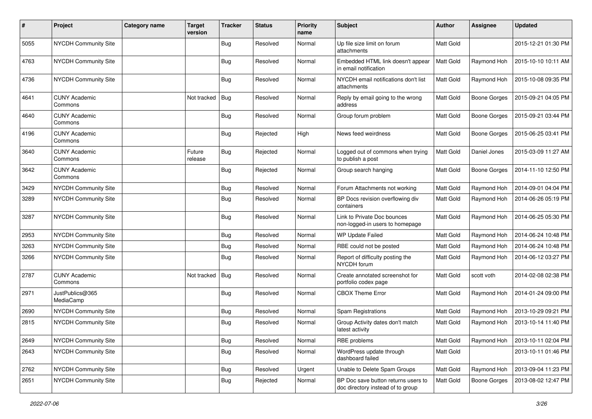| #    | Project                         | <b>Category name</b> | <b>Target</b><br>version | <b>Tracker</b> | <b>Status</b> | <b>Priority</b><br>name | Subject                                                                  | Author           | <b>Assignee</b>     | <b>Updated</b>      |
|------|---------------------------------|----------------------|--------------------------|----------------|---------------|-------------------------|--------------------------------------------------------------------------|------------------|---------------------|---------------------|
| 5055 | NYCDH Community Site            |                      |                          | <b>Bug</b>     | Resolved      | Normal                  | Up file size limit on forum<br>attachments                               | Matt Gold        |                     | 2015-12-21 01:30 PM |
| 4763 | NYCDH Community Site            |                      |                          | <b>Bug</b>     | Resolved      | Normal                  | Embedded HTML link doesn't appear<br>in email notification               | Matt Gold        | Raymond Hoh         | 2015-10-10 10:11 AM |
| 4736 | NYCDH Community Site            |                      |                          | Bug            | Resolved      | Normal                  | NYCDH email notifications don't list<br>attachments                      | Matt Gold        | Raymond Hoh         | 2015-10-08 09:35 PM |
| 4641 | <b>CUNY Academic</b><br>Commons |                      | Not tracked              | <b>Bug</b>     | Resolved      | Normal                  | Reply by email going to the wrong<br>address                             | Matt Gold        | Boone Gorges        | 2015-09-21 04:05 PM |
| 4640 | <b>CUNY Academic</b><br>Commons |                      |                          | Bug            | Resolved      | Normal                  | Group forum problem                                                      | <b>Matt Gold</b> | <b>Boone Gorges</b> | 2015-09-21 03:44 PM |
| 4196 | <b>CUNY Academic</b><br>Commons |                      |                          | <b>Bug</b>     | Rejected      | High                    | News feed weirdness                                                      | Matt Gold        | Boone Gorges        | 2015-06-25 03:41 PM |
| 3640 | <b>CUNY Academic</b><br>Commons |                      | Future<br>release        | <b>Bug</b>     | Rejected      | Normal                  | Logged out of commons when trying<br>to publish a post                   | Matt Gold        | Daniel Jones        | 2015-03-09 11:27 AM |
| 3642 | <b>CUNY Academic</b><br>Commons |                      |                          | <b>Bug</b>     | Rejected      | Normal                  | Group search hanging                                                     | Matt Gold        | Boone Gorges        | 2014-11-10 12:50 PM |
| 3429 | NYCDH Community Site            |                      |                          | <b>Bug</b>     | Resolved      | Normal                  | Forum Attachments not working                                            | Matt Gold        | Raymond Hoh         | 2014-09-01 04:04 PM |
| 3289 | NYCDH Community Site            |                      |                          | <b>Bug</b>     | Resolved      | Normal                  | BP Docs revision overflowing div<br>containers                           | Matt Gold        | Raymond Hoh         | 2014-06-26 05:19 PM |
| 3287 | <b>NYCDH Community Site</b>     |                      |                          | <b>Bug</b>     | Resolved      | Normal                  | Link to Private Doc bounces<br>non-logged-in users to homepage           | Matt Gold        | Raymond Hoh         | 2014-06-25 05:30 PM |
| 2953 | NYCDH Community Site            |                      |                          | <b>Bug</b>     | Resolved      | Normal                  | WP Update Failed                                                         | Matt Gold        | Raymond Hoh         | 2014-06-24 10:48 PM |
| 3263 | NYCDH Community Site            |                      |                          | Bug            | Resolved      | Normal                  | RBE could not be posted                                                  | Matt Gold        | Raymond Hoh         | 2014-06-24 10:48 PM |
| 3266 | NYCDH Community Site            |                      |                          | Bug            | Resolved      | Normal                  | Report of difficulty posting the<br>NYCDH forum                          | Matt Gold        | Raymond Hoh         | 2014-06-12 03:27 PM |
| 2787 | <b>CUNY Academic</b><br>Commons |                      | Not tracked              | Bug            | Resolved      | Normal                  | Create annotated screenshot for<br>portfolio codex page                  | Matt Gold        | scott voth          | 2014-02-08 02:38 PM |
| 2971 | JustPublics@365<br>MediaCamp    |                      |                          | <b>Bug</b>     | Resolved      | Normal                  | <b>CBOX Theme Error</b>                                                  | Matt Gold        | Raymond Hoh         | 2014-01-24 09:00 PM |
| 2690 | NYCDH Community Site            |                      |                          | <b>Bug</b>     | Resolved      | Normal                  | Spam Registrations                                                       | Matt Gold        | Raymond Hoh         | 2013-10-29 09:21 PM |
| 2815 | NYCDH Community Site            |                      |                          | <b>Bug</b>     | Resolved      | Normal                  | Group Activity dates don't match<br>latest activity                      | Matt Gold        | Raymond Hoh         | 2013-10-14 11:40 PM |
| 2649 | <b>NYCDH Community Site</b>     |                      |                          | <b>Bug</b>     | Resolved      | Normal                  | RBE problems                                                             | Matt Gold        | Raymond Hoh         | 2013-10-11 02:04 PM |
| 2643 | NYCDH Community Site            |                      |                          | Bug            | Resolved      | Normal                  | WordPress update through<br>dashboard failed                             | Matt Gold        |                     | 2013-10-11 01:46 PM |
| 2762 | NYCDH Community Site            |                      |                          | <b>Bug</b>     | Resolved      | Urgent                  | Unable to Delete Spam Groups                                             | Matt Gold        | Raymond Hoh         | 2013-09-04 11:23 PM |
| 2651 | NYCDH Community Site            |                      |                          | <b>Bug</b>     | Rejected      | Normal                  | BP Doc save button returns users to<br>doc directory instead of to group | Matt Gold        | Boone Gorges        | 2013-08-02 12:47 PM |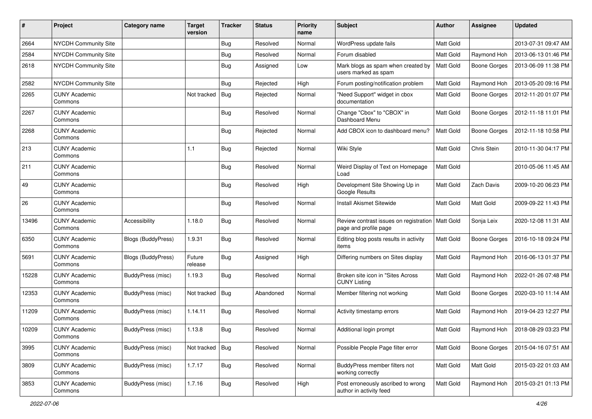| #     | Project                         | <b>Category name</b> | <b>Target</b><br>version | <b>Tracker</b> | <b>Status</b> | <b>Priority</b><br>name | <b>Subject</b>                                                  | <b>Author</b> | <b>Assignee</b>     | <b>Updated</b>      |
|-------|---------------------------------|----------------------|--------------------------|----------------|---------------|-------------------------|-----------------------------------------------------------------|---------------|---------------------|---------------------|
| 2664  | NYCDH Community Site            |                      |                          | <b>Bug</b>     | Resolved      | Normal                  | WordPress update fails                                          | Matt Gold     |                     | 2013-07-31 09:47 AM |
| 2584  | NYCDH Community Site            |                      |                          | Bug            | Resolved      | Normal                  | Forum disabled                                                  | Matt Gold     | Raymond Hoh         | 2013-06-13 01:46 PM |
| 2618  | NYCDH Community Site            |                      |                          | Bug            | Assigned      | Low                     | Mark blogs as spam when created by<br>users marked as spam      | Matt Gold     | <b>Boone Gorges</b> | 2013-06-09 11:38 PM |
| 2582  | <b>NYCDH Community Site</b>     |                      |                          | Bug            | Rejected      | High                    | Forum posting/notification problem                              | Matt Gold     | Raymond Hoh         | 2013-05-20 09:16 PM |
| 2265  | <b>CUNY Academic</b><br>Commons |                      | Not tracked              | <b>Bug</b>     | Rejected      | Normal                  | "Need Support" widget in cbox<br>documentation                  | Matt Gold     | <b>Boone Gorges</b> | 2012-11-20 01:07 PM |
| 2267  | <b>CUNY Academic</b><br>Commons |                      |                          | Bug            | Resolved      | Normal                  | Change "Cbox" to "CBOX" in<br>Dashboard Menu                    | Matt Gold     | Boone Gorges        | 2012-11-18 11:01 PM |
| 2268  | <b>CUNY Academic</b><br>Commons |                      |                          | <b>Bug</b>     | Rejected      | Normal                  | Add CBOX icon to dashboard menu?                                | Matt Gold     | Boone Gorges        | 2012-11-18 10:58 PM |
| 213   | <b>CUNY Academic</b><br>Commons |                      | 1.1                      | <b>Bug</b>     | Rejected      | Normal                  | Wiki Style                                                      | Matt Gold     | Chris Stein         | 2010-11-30 04:17 PM |
| 211   | <b>CUNY Academic</b><br>Commons |                      |                          | <b>Bug</b>     | Resolved      | Normal                  | Weird Display of Text on Homepage<br>Load                       | Matt Gold     |                     | 2010-05-06 11:45 AM |
| 49    | <b>CUNY Academic</b><br>Commons |                      |                          | <b>Bug</b>     | Resolved      | High                    | Development Site Showing Up in<br>Google Results                | Matt Gold     | Zach Davis          | 2009-10-20 06:23 PM |
| 26    | <b>CUNY Academic</b><br>Commons |                      |                          | i Bug          | Resolved      | Normal                  | <b>Install Akismet Sitewide</b>                                 | Matt Gold     | Matt Gold           | 2009-09-22 11:43 PM |
| 13496 | <b>CUNY Academic</b><br>Commons | Accessibility        | 1.18.0                   | <b>Bug</b>     | Resolved      | Normal                  | Review contrast issues on registration<br>page and profile page | Matt Gold     | Sonja Leix          | 2020-12-08 11:31 AM |
| 6350  | <b>CUNY Academic</b><br>Commons | Blogs (BuddyPress)   | 1.9.31                   | <b>Bug</b>     | Resolved      | Normal                  | Editing blog posts results in activity<br>items                 | Matt Gold     | <b>Boone Gorges</b> | 2016-10-18 09:24 PM |
| 5691  | <b>CUNY Academic</b><br>Commons | Blogs (BuddyPress)   | Future<br>release        | <b>Bug</b>     | Assigned      | High                    | Differing numbers on Sites display                              | Matt Gold     | Raymond Hoh         | 2016-06-13 01:37 PM |
| 15228 | <b>CUNY Academic</b><br>Commons | BuddyPress (misc)    | 1.19.3                   | Bug            | Resolved      | Normal                  | Broken site icon in "Sites Across<br><b>CUNY Listing</b>        | Matt Gold     | Raymond Hoh         | 2022-01-26 07:48 PM |
| 12353 | <b>CUNY Academic</b><br>Commons | BuddyPress (misc)    | Not tracked              | Bug            | Abandoned     | Normal                  | Member filtering not working                                    | Matt Gold     | <b>Boone Gorges</b> | 2020-03-10 11:14 AM |
| 11209 | <b>CUNY Academic</b><br>Commons | BuddyPress (misc)    | 1.14.11                  | <b>Bug</b>     | Resolved      | Normal                  | Activity timestamp errors                                       | Matt Gold     | Raymond Hoh         | 2019-04-23 12:27 PM |
| 10209 | <b>CUNY Academic</b><br>Commons | BuddyPress (misc)    | 1.13.8                   | <b>Bug</b>     | Resolved      | Normal                  | Additional login prompt                                         | Matt Gold     | Raymond Hoh         | 2018-08-29 03:23 PM |
| 3995  | <b>CUNY Academic</b><br>Commons | BuddyPress (misc)    | Not tracked              | Bug            | Resolved      | Normal                  | Possible People Page filter error                               | Matt Gold     | Boone Gorges        | 2015-04-16 07:51 AM |
| 3809  | <b>CUNY Academic</b><br>Commons | BuddyPress (misc)    | 1.7.17                   | <b>Bug</b>     | Resolved      | Normal                  | BuddyPress member filters not<br>working correctly              | Matt Gold     | Matt Gold           | 2015-03-22 01:03 AM |
| 3853  | <b>CUNY Academic</b><br>Commons | BuddyPress (misc)    | 1.7.16                   | <b>Bug</b>     | Resolved      | High                    | Post erroneously ascribed to wrong<br>author in activity feed   | Matt Gold     | Raymond Hoh         | 2015-03-21 01:13 PM |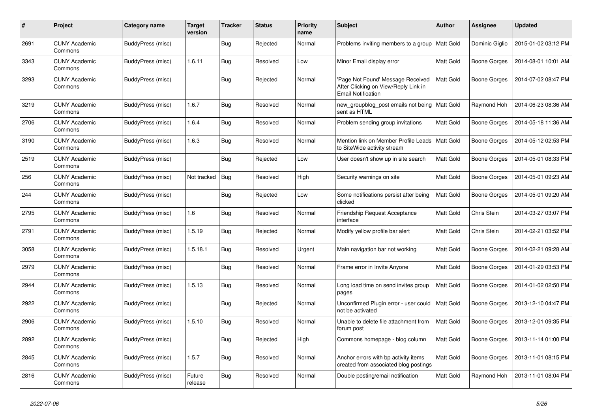| #    | Project                         | Category name            | <b>Target</b><br>version | <b>Tracker</b> | <b>Status</b> | <b>Priority</b><br>name | <b>Subject</b>                                                                                         | Author           | Assignee       | <b>Updated</b>      |
|------|---------------------------------|--------------------------|--------------------------|----------------|---------------|-------------------------|--------------------------------------------------------------------------------------------------------|------------------|----------------|---------------------|
| 2691 | <b>CUNY Academic</b><br>Commons | BuddyPress (misc)        |                          | <b>Bug</b>     | Rejected      | Normal                  | Problems inviting members to a group                                                                   | Matt Gold        | Dominic Giglio | 2015-01-02 03:12 PM |
| 3343 | <b>CUNY Academic</b><br>Commons | BuddyPress (misc)        | 1.6.11                   | <b>Bug</b>     | Resolved      | Low                     | Minor Email display error                                                                              | Matt Gold        | Boone Gorges   | 2014-08-01 10:01 AM |
| 3293 | <b>CUNY Academic</b><br>Commons | BuddyPress (misc)        |                          | <b>Bug</b>     | Rejected      | Normal                  | 'Page Not Found' Message Received<br>After Clicking on View/Reply Link in<br><b>Email Notification</b> | Matt Gold        | Boone Gorges   | 2014-07-02 08:47 PM |
| 3219 | <b>CUNY Academic</b><br>Commons | <b>BuddyPress (misc)</b> | 1.6.7                    | Bug            | Resolved      | Normal                  | new_groupblog_post emails not being<br>sent as HTML                                                    | Matt Gold        | Raymond Hoh    | 2014-06-23 08:36 AM |
| 2706 | <b>CUNY Academic</b><br>Commons | BuddyPress (misc)        | 1.6.4                    | <b>Bug</b>     | Resolved      | Normal                  | Problem sending group invitations                                                                      | Matt Gold        | Boone Gorges   | 2014-05-18 11:36 AM |
| 3190 | <b>CUNY Academic</b><br>Commons | BuddyPress (misc)        | 1.6.3                    | Bug            | Resolved      | Normal                  | Mention link on Member Profile Leads<br>to SiteWide activity stream                                    | <b>Matt Gold</b> | Boone Gorges   | 2014-05-12 02:53 PM |
| 2519 | <b>CUNY Academic</b><br>Commons | BuddyPress (misc)        |                          | <b>Bug</b>     | Rejected      | Low                     | User doesn't show up in site search                                                                    | Matt Gold        | Boone Gorges   | 2014-05-01 08:33 PM |
| 256  | <b>CUNY Academic</b><br>Commons | BuddyPress (misc)        | Not tracked              | Bug            | Resolved      | High                    | Security warnings on site                                                                              | Matt Gold        | Boone Gorges   | 2014-05-01 09:23 AM |
| 244  | <b>CUNY Academic</b><br>Commons | BuddyPress (misc)        |                          | <b>Bug</b>     | Rejected      | Low                     | Some notifications persist after being<br>clicked                                                      | Matt Gold        | Boone Gorges   | 2014-05-01 09:20 AM |
| 2795 | <b>CUNY Academic</b><br>Commons | BuddyPress (misc)        | 1.6                      | Bug            | Resolved      | Normal                  | <b>Friendship Request Acceptance</b><br>interface                                                      | Matt Gold        | Chris Stein    | 2014-03-27 03:07 PM |
| 2791 | <b>CUNY Academic</b><br>Commons | BuddyPress (misc)        | 1.5.19                   | <b>Bug</b>     | Rejected      | Normal                  | Modify yellow profile bar alert                                                                        | Matt Gold        | Chris Stein    | 2014-02-21 03:52 PM |
| 3058 | <b>CUNY Academic</b><br>Commons | BuddyPress (misc)        | 1.5.18.1                 | Bug            | Resolved      | Urgent                  | Main navigation bar not working                                                                        | Matt Gold        | Boone Gorges   | 2014-02-21 09:28 AM |
| 2979 | <b>CUNY Academic</b><br>Commons | BuddyPress (misc)        |                          | <b>Bug</b>     | Resolved      | Normal                  | Frame error in Invite Anyone                                                                           | Matt Gold        | Boone Gorges   | 2014-01-29 03:53 PM |
| 2944 | CUNY Academic<br>Commons        | BuddyPress (misc)        | 1.5.13                   | Bug            | Resolved      | Normal                  | Long load time on send invites group<br>pages                                                          | Matt Gold        | Boone Gorges   | 2014-01-02 02:50 PM |
| 2922 | <b>CUNY Academic</b><br>Commons | BuddyPress (misc)        |                          | <b>Bug</b>     | Rejected      | Normal                  | Unconfirmed Plugin error - user could<br>not be activated                                              | Matt Gold        | Boone Gorges   | 2013-12-10 04:47 PM |
| 2906 | <b>CUNY Academic</b><br>Commons | BuddyPress (misc)        | 1.5.10                   | Bug            | Resolved      | Normal                  | Unable to delete file attachment from<br>forum post                                                    | Matt Gold        | Boone Gorges   | 2013-12-01 09:35 PM |
| 2892 | <b>CUNY Academic</b><br>Commons | BuddyPress (misc)        |                          | <b>Bug</b>     | Rejected      | High                    | Commons homepage - blog column                                                                         | Matt Gold        | Boone Gorges   | 2013-11-14 01:00 PM |
| 2845 | <b>CUNY Academic</b><br>Commons | BuddyPress (misc)        | 1.5.7                    | Bug            | Resolved      | Normal                  | Anchor errors with bp activity items<br>created from associated blog postings                          | Matt Gold        | Boone Gorges   | 2013-11-01 08:15 PM |
| 2816 | <b>CUNY Academic</b><br>Commons | BuddyPress (misc)        | Future<br>release        | Bug            | Resolved      | Normal                  | Double posting/email notification                                                                      | Matt Gold        | Raymond Hoh    | 2013-11-01 08:04 PM |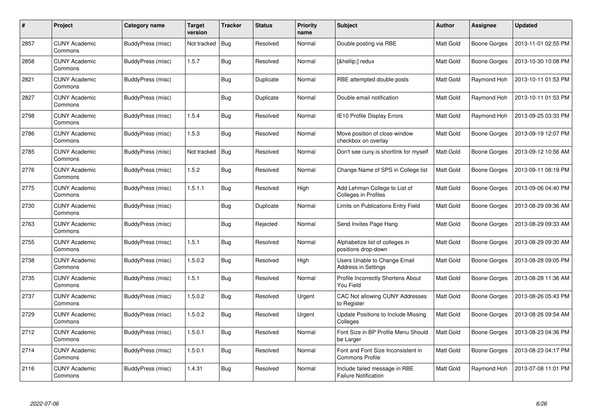| #    | Project                         | Category name            | Target<br>version | <b>Tracker</b> | <b>Status</b> | <b>Priority</b><br>name | <b>Subject</b>                                               | <b>Author</b> | Assignee     | <b>Updated</b>      |
|------|---------------------------------|--------------------------|-------------------|----------------|---------------|-------------------------|--------------------------------------------------------------|---------------|--------------|---------------------|
| 2857 | <b>CUNY Academic</b><br>Commons | BuddyPress (misc)        | Not tracked       | Bug            | Resolved      | Normal                  | Double posting via RBE                                       | Matt Gold     | Boone Gorges | 2013-11-01 02:55 PM |
| 2858 | <b>CUNY Academic</b><br>Commons | BuddyPress (misc)        | 1.5.7             | Bug            | Resolved      | Normal                  | […] redux                                                    | Matt Gold     | Boone Gorges | 2013-10-30 10:08 PM |
| 2821 | <b>CUNY Academic</b><br>Commons | BuddyPress (misc)        |                   | <b>Bug</b>     | Duplicate     | Normal                  | RBE attempted double posts                                   | Matt Gold     | Raymond Hoh  | 2013-10-11 01:53 PM |
| 2827 | <b>CUNY Academic</b><br>Commons | BuddyPress (misc)        |                   | <b>Bug</b>     | Duplicate     | Normal                  | Double email notification                                    | Matt Gold     | Raymond Hoh  | 2013-10-11 01:53 PM |
| 2798 | <b>CUNY Academic</b><br>Commons | BuddyPress (misc)        | 1.5.4             | Bug            | Resolved      | Normal                  | IE10 Profile Display Errors                                  | Matt Gold     | Raymond Hoh  | 2013-09-25 03:33 PM |
| 2786 | <b>CUNY Academic</b><br>Commons | <b>BuddyPress (misc)</b> | 1.5.3             | Bug            | Resolved      | Normal                  | Move position of close window<br>checkbox on overlay         | Matt Gold     | Boone Gorges | 2013-09-19 12:07 PM |
| 2785 | <b>CUNY Academic</b><br>Commons | BuddyPress (misc)        | Not tracked       | Bug            | Resolved      | Normal                  | Don't see cuny is shortlink for myself                       | Matt Gold     | Boone Gorges | 2013-09-12 10:56 AM |
| 2776 | <b>CUNY Academic</b><br>Commons | BuddyPress (misc)        | 1.5.2             | Bug            | Resolved      | Normal                  | Change Name of SPS in College list                           | Matt Gold     | Boone Gorges | 2013-09-11 08:19 PM |
| 2775 | <b>CUNY Academic</b><br>Commons | BuddyPress (misc)        | 1.5.1.1           | <b>Bug</b>     | Resolved      | High                    | Add Lehman College to List of<br><b>Colleges in Profiles</b> | Matt Gold     | Boone Gorges | 2013-09-06 04:40 PM |
| 2730 | <b>CUNY Academic</b><br>Commons | <b>BuddyPress (misc)</b> |                   | Bug            | Duplicate     | Normal                  | Limits on Publications Entry Field                           | Matt Gold     | Boone Gorges | 2013-08-29 09:36 AM |
| 2763 | <b>CUNY Academic</b><br>Commons | BuddyPress (misc)        |                   | Bug            | Rejected      | Normal                  | Send Invites Page Hang                                       | Matt Gold     | Boone Gorges | 2013-08-29 09:33 AM |
| 2755 | <b>CUNY Academic</b><br>Commons | BuddyPress (misc)        | 1.5.1             | <b>Bug</b>     | Resolved      | Normal                  | Alphabetize list of colleges in<br>positions drop-down       | Matt Gold     | Boone Gorges | 2013-08-29 09:30 AM |
| 2738 | <b>CUNY Academic</b><br>Commons | <b>BuddyPress (misc)</b> | 1.5.0.2           | <b>Bug</b>     | Resolved      | High                    | Users Unable to Change Email<br><b>Address in Settings</b>   | Matt Gold     | Boone Gorges | 2013-08-28 09:05 PM |
| 2735 | <b>CUNY Academic</b><br>Commons | BuddyPress (misc)        | 1.5.1             | Bug            | Resolved      | Normal                  | Profile Incorrectly Shortens About<br>You Field              | Matt Gold     | Boone Gorges | 2013-08-28 11:36 AM |
| 2737 | <b>CUNY Academic</b><br>Commons | BuddyPress (misc)        | 1.5.0.2           | Bug            | Resolved      | Urgent                  | CAC Not allowing CUNY Addresses<br>to Register               | Matt Gold     | Boone Gorges | 2013-08-26 05:43 PM |
| 2729 | <b>CUNY Academic</b><br>Commons | BuddyPress (misc)        | 1.5.0.2           | <b>Bug</b>     | Resolved      | Urgent                  | Update Positions to Include Missing<br>Colleges              | Matt Gold     | Boone Gorges | 2013-08-26 09:54 AM |
| 2712 | <b>CUNY Academic</b><br>Commons | BuddyPress (misc)        | 1.5.0.1           | Bug            | Resolved      | Normal                  | Font Size in BP Profile Menu Should<br>be Larger             | Matt Gold     | Boone Gorges | 2013-08-23 04:36 PM |
| 2714 | <b>CUNY Academic</b><br>Commons | BuddyPress (misc)        | 1.5.0.1           | <b>Bug</b>     | Resolved      | Normal                  | Font and Font Size Inconsistent in<br><b>Commons Profile</b> | Matt Gold     | Boone Gorges | 2013-08-23 04:17 PM |
| 2116 | <b>CUNY Academic</b><br>Commons | BuddyPress (misc)        | 1.4.31            | Bug            | Resolved      | Normal                  | Include failed message in RBE<br><b>Failure Notification</b> | Matt Gold     | Raymond Hoh  | 2013-07-08 11:01 PM |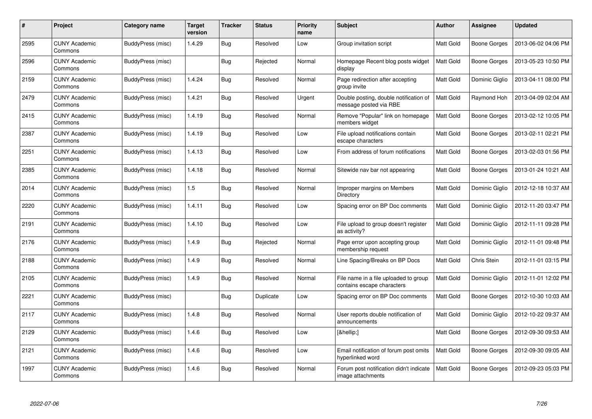| #    | Project                         | Category name            | <b>Target</b><br>version | <b>Tracker</b> | <b>Status</b> | <b>Priority</b><br>name | <b>Subject</b>                                                      | Author    | Assignee       | <b>Updated</b>      |
|------|---------------------------------|--------------------------|--------------------------|----------------|---------------|-------------------------|---------------------------------------------------------------------|-----------|----------------|---------------------|
| 2595 | <b>CUNY Academic</b><br>Commons | BuddyPress (misc)        | 1.4.29                   | <b>Bug</b>     | Resolved      | Low                     | Group invitation script                                             | Matt Gold | Boone Gorges   | 2013-06-02 04:06 PM |
| 2596 | <b>CUNY Academic</b><br>Commons | BuddyPress (misc)        |                          | Bug            | Rejected      | Normal                  | Homepage Recent blog posts widget<br>display                        | Matt Gold | Boone Gorges   | 2013-05-23 10:50 PM |
| 2159 | <b>CUNY Academic</b><br>Commons | BuddyPress (misc)        | 1.4.24                   | <b>Bug</b>     | Resolved      | Normal                  | Page redirection after accepting<br>group invite                    | Matt Gold | Dominic Giglio | 2013-04-11 08:00 PM |
| 2479 | <b>CUNY Academic</b><br>Commons | BuddyPress (misc)        | 1.4.21                   | <b>Bug</b>     | Resolved      | Urgent                  | Double posting, double notification of<br>message posted via RBE    | Matt Gold | Raymond Hoh    | 2013-04-09 02:04 AM |
| 2415 | <b>CUNY Academic</b><br>Commons | BuddyPress (misc)        | 1.4.19                   | Bug            | Resolved      | Normal                  | Remove "Popular" link on homepage<br>members widget                 | Matt Gold | Boone Gorges   | 2013-02-12 10:05 PM |
| 2387 | <b>CUNY Academic</b><br>Commons | BuddyPress (misc)        | 1.4.19                   | <b>Bug</b>     | Resolved      | Low                     | File upload notifications contain<br>escape characters              | Matt Gold | Boone Gorges   | 2013-02-11 02:21 PM |
| 2251 | <b>CUNY Academic</b><br>Commons | <b>BuddyPress (misc)</b> | 1.4.13                   | <b>Bug</b>     | Resolved      | Low                     | From address of forum notifications                                 | Matt Gold | Boone Gorges   | 2013-02-03 01:56 PM |
| 2385 | <b>CUNY Academic</b><br>Commons | BuddyPress (misc)        | 1.4.18                   | <b>Bug</b>     | Resolved      | Normal                  | Sitewide nav bar not appearing                                      | Matt Gold | Boone Gorges   | 2013-01-24 10:21 AM |
| 2014 | <b>CUNY Academic</b><br>Commons | BuddyPress (misc)        | 1.5                      | Bug            | Resolved      | Normal                  | Improper margins on Members<br>Directory                            | Matt Gold | Dominic Giglio | 2012-12-18 10:37 AM |
| 2220 | <b>CUNY Academic</b><br>Commons | BuddyPress (misc)        | 1.4.11                   | Bug            | Resolved      | Low                     | Spacing error on BP Doc comments                                    | Matt Gold | Dominic Giglio | 2012-11-20 03:47 PM |
| 2191 | <b>CUNY Academic</b><br>Commons | <b>BuddyPress (misc)</b> | 1.4.10                   | <b>Bug</b>     | Resolved      | Low                     | File upload to group doesn't register<br>as activity?               | Matt Gold | Dominic Giglio | 2012-11-11 09:28 PM |
| 2176 | <b>CUNY Academic</b><br>Commons | <b>BuddyPress (misc)</b> | 1.4.9                    | <b>Bug</b>     | Rejected      | Normal                  | Page error upon accepting group<br>membership request               | Matt Gold | Dominic Giglio | 2012-11-01 09:48 PM |
| 2188 | <b>CUNY Academic</b><br>Commons | BuddyPress (misc)        | 1.4.9                    | Bug            | Resolved      | Normal                  | Line Spacing/Breaks on BP Docs                                      | Matt Gold | Chris Stein    | 2012-11-01 03:15 PM |
| 2105 | <b>CUNY Academic</b><br>Commons | BuddyPress (misc)        | 1.4.9                    | <b>Bug</b>     | Resolved      | Normal                  | File name in a file uploaded to group<br>contains escape characters | Matt Gold | Dominic Giglio | 2012-11-01 12:02 PM |
| 2221 | <b>CUNY Academic</b><br>Commons | BuddyPress (misc)        |                          | <b>Bug</b>     | Duplicate     | Low                     | Spacing error on BP Doc comments                                    | Matt Gold | Boone Gorges   | 2012-10-30 10:03 AM |
| 2117 | <b>CUNY Academic</b><br>Commons | <b>BuddyPress (misc)</b> | 1.4.8                    | <b>Bug</b>     | Resolved      | Normal                  | User reports double notification of<br>announcements                | Matt Gold | Dominic Giglio | 2012-10-22 09:37 AM |
| 2129 | <b>CUNY Academic</b><br>Commons | BuddyPress (misc)        | 1.4.6                    | Bug            | Resolved      | Low                     | […]                                                                 | Matt Gold | Boone Gorges   | 2012-09-30 09:53 AM |
| 2121 | <b>CUNY Academic</b><br>Commons | <b>BuddyPress (misc)</b> | 1.4.6                    | <b>Bug</b>     | Resolved      | Low                     | Email notification of forum post omits<br>hyperlinked word          | Matt Gold | Boone Gorges   | 2012-09-30 09:05 AM |
| 1997 | CUNY Academic<br>Commons        | BuddyPress (misc)        | 1.4.6                    | Bug            | Resolved      | Normal                  | Forum post notification didn't indicate<br>image attachments        | Matt Gold | Boone Gorges   | 2012-09-23 05:03 PM |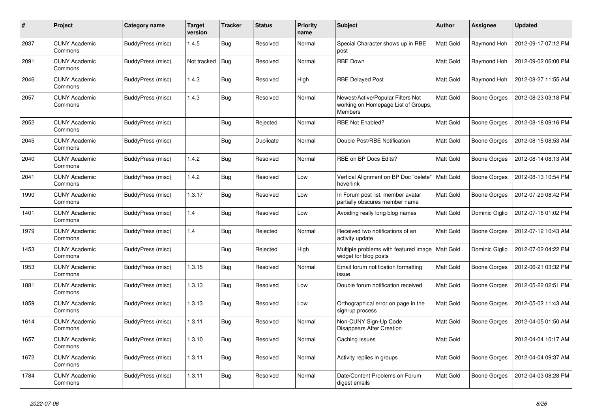| #    | Project                         | Category name            | <b>Target</b><br>version | <b>Tracker</b> | <b>Status</b> | Priority<br>name | <b>Subject</b>                                                                             | <b>Author</b> | <b>Assignee</b> | <b>Updated</b>      |
|------|---------------------------------|--------------------------|--------------------------|----------------|---------------|------------------|--------------------------------------------------------------------------------------------|---------------|-----------------|---------------------|
| 2037 | <b>CUNY Academic</b><br>Commons | <b>BuddyPress (misc)</b> | 1.4.5                    | <b>Bug</b>     | Resolved      | Normal           | Special Character shows up in RBE<br>post                                                  | Matt Gold     | Raymond Hoh     | 2012-09-17 07:12 PM |
| 2091 | <b>CUNY Academic</b><br>Commons | <b>BuddyPress (misc)</b> | Not tracked              | Bug            | Resolved      | Normal           | <b>RBE Down</b>                                                                            | Matt Gold     | Raymond Hoh     | 2012-09-02 06:00 PM |
| 2046 | <b>CUNY Academic</b><br>Commons | BuddyPress (misc)        | 1.4.3                    | Bug            | Resolved      | High             | <b>RBE Delayed Post</b>                                                                    | Matt Gold     | Raymond Hoh     | 2012-08-27 11:55 AM |
| 2057 | <b>CUNY Academic</b><br>Commons | <b>BuddyPress (misc)</b> | 1.4.3                    | <b>Bug</b>     | Resolved      | Normal           | Newest/Active/Popular Filters Not<br>working on Homepage List of Groups,<br><b>Members</b> | Matt Gold     | Boone Gorges    | 2012-08-23 03:18 PM |
| 2052 | <b>CUNY Academic</b><br>Commons | BuddyPress (misc)        |                          | Bug            | Rejected      | Normal           | RBE Not Enabled?                                                                           | Matt Gold     | Boone Gorges    | 2012-08-18 09:16 PM |
| 2045 | <b>CUNY Academic</b><br>Commons | <b>BuddyPress (misc)</b> |                          | <b>Bug</b>     | Duplicate     | Normal           | Double Post/RBE Notification                                                               | Matt Gold     | Boone Gorges    | 2012-08-15 08:53 AM |
| 2040 | <b>CUNY Academic</b><br>Commons | BuddyPress (misc)        | 1.4.2                    | <b>Bug</b>     | Resolved      | Normal           | RBE on BP Docs Edits?                                                                      | Matt Gold     | Boone Gorges    | 2012-08-14 08:13 AM |
| 2041 | <b>CUNY Academic</b><br>Commons | <b>BuddyPress (misc)</b> | 1.4.2                    | Bug            | Resolved      | Low              | Vertical Alignment on BP Doc "delete"<br>hoverlink                                         | Matt Gold     | Boone Gorges    | 2012-08-13 10:54 PM |
| 1990 | <b>CUNY Academic</b><br>Commons | <b>BuddyPress (misc)</b> | 1.3.17                   | <b>Bug</b>     | Resolved      | Low              | In Forum post list, member avatar<br>partially obscures member name                        | Matt Gold     | Boone Gorges    | 2012-07-29 08:42 PM |
| 1401 | <b>CUNY Academic</b><br>Commons | <b>BuddyPress (misc)</b> | 1.4                      | <b>Bug</b>     | Resolved      | Low              | Avoiding really long blog names                                                            | Matt Gold     | Dominic Giglio  | 2012-07-16 01:02 PM |
| 1979 | <b>CUNY Academic</b><br>Commons | BuddyPress (misc)        | 1.4                      | Bug            | Rejected      | Normal           | Received two notifications of an<br>activity update                                        | Matt Gold     | Boone Gorges    | 2012-07-12 10:43 AM |
| 1453 | <b>CUNY Academic</b><br>Commons | BuddyPress (misc)        |                          | Bug            | Rejected      | High             | Multiple problems with featured image<br>widget for blog posts                             | Matt Gold     | Dominic Giglio  | 2012-07-02 04:22 PM |
| 1953 | <b>CUNY Academic</b><br>Commons | BuddyPress (misc)        | 1.3.15                   | <b>Bug</b>     | Resolved      | Normal           | Email forum notification formatting<br>issue                                               | Matt Gold     | Boone Gorges    | 2012-06-21 03:32 PM |
| 1881 | <b>CUNY Academic</b><br>Commons | BuddyPress (misc)        | 1.3.13                   | <b>Bug</b>     | Resolved      | Low              | Double forum notification received                                                         | Matt Gold     | Boone Gorges    | 2012-05-22 02:51 PM |
| 1859 | <b>CUNY Academic</b><br>Commons | BuddyPress (misc)        | 1.3.13                   | Bug            | Resolved      | Low              | Orthographical error on page in the<br>sign-up process                                     | Matt Gold     | Boone Gorges    | 2012-05-02 11:43 AM |
| 1614 | <b>CUNY Academic</b><br>Commons | BuddyPress (misc)        | 1.3.11                   | Bug            | Resolved      | Normal           | Non-CUNY Sign-Up Code<br>Disappears After Creation                                         | Matt Gold     | Boone Gorges    | 2012-04-05 01:50 AM |
| 1657 | <b>CUNY Academic</b><br>Commons | BuddyPress (misc)        | 1.3.10                   | <b>Bug</b>     | Resolved      | Normal           | Caching Issues                                                                             | Matt Gold     |                 | 2012-04-04 10:17 AM |
| 1672 | <b>CUNY Academic</b><br>Commons | BuddyPress (misc)        | 1.3.11                   | Bug            | Resolved      | Normal           | Activity replies in groups                                                                 | Matt Gold     | Boone Gorges    | 2012-04-04 09:37 AM |
| 1784 | <b>CUNY Academic</b><br>Commons | BuddyPress (misc)        | 1.3.11                   | <b>Bug</b>     | Resolved      | Normal           | Date/Content Problems on Forum<br>digest emails                                            | Matt Gold     | Boone Gorges    | 2012-04-03 08:28 PM |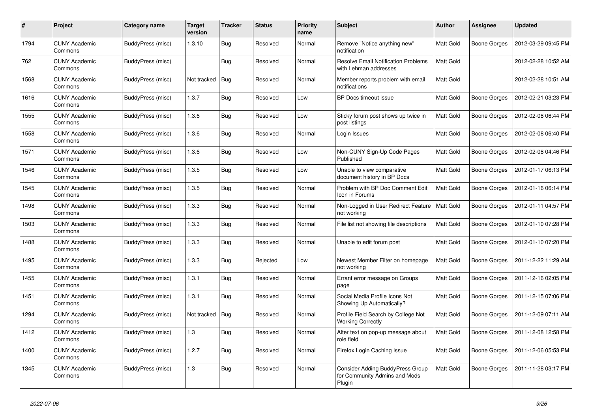| #    | Project                         | Category name            | <b>Target</b><br>version | <b>Tracker</b> | <b>Status</b> | Priority<br>name | <b>Subject</b>                                                                     | <b>Author</b> | Assignee            | <b>Updated</b>      |
|------|---------------------------------|--------------------------|--------------------------|----------------|---------------|------------------|------------------------------------------------------------------------------------|---------------|---------------------|---------------------|
| 1794 | <b>CUNY Academic</b><br>Commons | BuddyPress (misc)        | 1.3.10                   | Bug            | Resolved      | Normal           | Remove "Notice anything new"<br>notification                                       | Matt Gold     | <b>Boone Gorges</b> | 2012-03-29 09:45 PM |
| 762  | <b>CUNY Academic</b><br>Commons | BuddyPress (misc)        |                          | Bug            | Resolved      | Normal           | <b>Resolve Email Notification Problems</b><br>with Lehman addresses                | Matt Gold     |                     | 2012-02-28 10:52 AM |
| 1568 | <b>CUNY Academic</b><br>Commons | BuddyPress (misc)        | Not tracked   Bug        |                | Resolved      | Normal           | Member reports problem with email<br>notifications                                 | Matt Gold     |                     | 2012-02-28 10:51 AM |
| 1616 | <b>CUNY Academic</b><br>Commons | BuddyPress (misc)        | 1.3.7                    | <b>Bug</b>     | Resolved      | Low              | BP Docs timeout issue                                                              | Matt Gold     | <b>Boone Gorges</b> | 2012-02-21 03:23 PM |
| 1555 | <b>CUNY Academic</b><br>Commons | BuddyPress (misc)        | 1.3.6                    | Bug            | Resolved      | Low              | Sticky forum post shows up twice in<br>post listings                               | Matt Gold     | Boone Gorges        | 2012-02-08 06:44 PM |
| 1558 | <b>CUNY Academic</b><br>Commons | BuddyPress (misc)        | 1.3.6                    | <b>Bug</b>     | Resolved      | Normal           | Login Issues                                                                       | Matt Gold     | <b>Boone Gorges</b> | 2012-02-08 06:40 PM |
| 1571 | <b>CUNY Academic</b><br>Commons | BuddyPress (misc)        | 1.3.6                    | <b>Bug</b>     | Resolved      | Low              | Non-CUNY Sign-Up Code Pages<br>Published                                           | Matt Gold     | <b>Boone Gorges</b> | 2012-02-08 04:46 PM |
| 1546 | <b>CUNY Academic</b><br>Commons | BuddyPress (misc)        | 1.3.5                    | <b>Bug</b>     | Resolved      | Low              | Unable to view comparative<br>document history in BP Docs                          | Matt Gold     | <b>Boone Gorges</b> | 2012-01-17 06:13 PM |
| 1545 | <b>CUNY Academic</b><br>Commons | BuddyPress (misc)        | 1.3.5                    | Bug            | Resolved      | Normal           | Problem with BP Doc Comment Edit<br>Icon in Forums                                 | Matt Gold     | <b>Boone Gorges</b> | 2012-01-16 06:14 PM |
| 1498 | <b>CUNY Academic</b><br>Commons | BuddyPress (misc)        | 1.3.3                    | <b>Bug</b>     | Resolved      | Normal           | Non-Logged in User Redirect Feature<br>not working                                 | Matt Gold     | <b>Boone Gorges</b> | 2012-01-11 04:57 PM |
| 1503 | <b>CUNY Academic</b><br>Commons | <b>BuddyPress (misc)</b> | 1.3.3                    | <b>Bug</b>     | Resolved      | Normal           | File list not showing file descriptions                                            | Matt Gold     | Boone Gorges        | 2012-01-10 07:28 PM |
| 1488 | <b>CUNY Academic</b><br>Commons | BuddyPress (misc)        | 1.3.3                    | Bug            | Resolved      | Normal           | Unable to edit forum post                                                          | Matt Gold     | Boone Gorges        | 2012-01-10 07:20 PM |
| 1495 | <b>CUNY Academic</b><br>Commons | BuddyPress (misc)        | 1.3.3                    | Bug            | Rejected      | Low              | Newest Member Filter on homepage<br>not working                                    | Matt Gold     | Boone Gorges        | 2011-12-22 11:29 AM |
| 1455 | <b>CUNY Academic</b><br>Commons | BuddyPress (misc)        | 1.3.1                    | <b>Bug</b>     | Resolved      | Normal           | Errant error message on Groups<br>page                                             | Matt Gold     | <b>Boone Gorges</b> | 2011-12-16 02:05 PM |
| 1451 | <b>CUNY Academic</b><br>Commons | BuddyPress (misc)        | 1.3.1                    | Bug            | Resolved      | Normal           | Social Media Profile Icons Not<br>Showing Up Automatically?                        | Matt Gold     | <b>Boone Gorges</b> | 2011-12-15 07:06 PM |
| 1294 | <b>CUNY Academic</b><br>Commons | BuddyPress (misc)        | Not tracked   Bug        |                | Resolved      | Normal           | Profile Field Search by College Not<br><b>Working Correctly</b>                    | Matt Gold     | <b>Boone Gorges</b> | 2011-12-09 07:11 AM |
| 1412 | <b>CUNY Academic</b><br>Commons | BuddyPress (misc)        | 1.3                      | <b>Bug</b>     | Resolved      | Normal           | Alter text on pop-up message about<br>role field                                   | Matt Gold     | <b>Boone Gorges</b> | 2011-12-08 12:58 PM |
| 1400 | <b>CUNY Academic</b><br>Commons | <b>BuddyPress (misc)</b> | 1.2.7                    | Bug            | Resolved      | Normal           | Firefox Login Caching Issue                                                        | Matt Gold     | <b>Boone Gorges</b> | 2011-12-06 05:53 PM |
| 1345 | <b>CUNY Academic</b><br>Commons | BuddyPress (misc)        | 1.3                      | <b>Bug</b>     | Resolved      | Normal           | <b>Consider Adding BuddyPress Group</b><br>for Community Admins and Mods<br>Plugin | Matt Gold     | <b>Boone Gorges</b> | 2011-11-28 03:17 PM |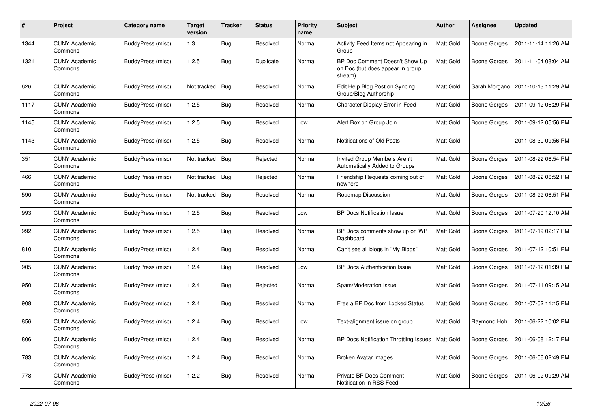| #    | Project                         | Category name            | <b>Target</b><br>version | <b>Tracker</b> | <b>Status</b> | Priority<br>name | <b>Subject</b>                                                                | <b>Author</b> | <b>Assignee</b>     | <b>Updated</b>      |
|------|---------------------------------|--------------------------|--------------------------|----------------|---------------|------------------|-------------------------------------------------------------------------------|---------------|---------------------|---------------------|
| 1344 | <b>CUNY Academic</b><br>Commons | <b>BuddyPress (misc)</b> | 1.3                      | <b>Bug</b>     | Resolved      | Normal           | Activity Feed Items not Appearing in<br>Group                                 | Matt Gold     | <b>Boone Gorges</b> | 2011-11-14 11:26 AM |
| 1321 | <b>CUNY Academic</b><br>Commons | BuddyPress (misc)        | 1.2.5                    | Bug            | Duplicate     | Normal           | BP Doc Comment Doesn't Show Up<br>on Doc (but does appear in group<br>stream) | Matt Gold     | Boone Gorges        | 2011-11-04 08:04 AM |
| 626  | <b>CUNY Academic</b><br>Commons | BuddyPress (misc)        | Not tracked              | Bug            | Resolved      | Normal           | Edit Help Blog Post on Syncing<br>Group/Blog Authorship                       | Matt Gold     | Sarah Morgano       | 2011-10-13 11:29 AM |
| 1117 | <b>CUNY Academic</b><br>Commons | <b>BuddyPress (misc)</b> | 1.2.5                    | Bug            | Resolved      | Normal           | Character Display Error in Feed                                               | Matt Gold     | <b>Boone Gorges</b> | 2011-09-12 06:29 PM |
| 1145 | <b>CUNY Academic</b><br>Commons | BuddyPress (misc)        | 1.2.5                    | <b>Bug</b>     | Resolved      | Low              | Alert Box on Group Join                                                       | Matt Gold     | <b>Boone Gorges</b> | 2011-09-12 05:56 PM |
| 1143 | <b>CUNY Academic</b><br>Commons | BuddyPress (misc)        | 1.2.5                    | Bug            | Resolved      | Normal           | Notifications of Old Posts                                                    | Matt Gold     |                     | 2011-08-30 09:56 PM |
| 351  | <b>CUNY Academic</b><br>Commons | BuddyPress (misc)        | Not tracked              | Bug            | Rejected      | Normal           | Invited Group Members Aren't<br>Automatically Added to Groups                 | Matt Gold     | Boone Gorges        | 2011-08-22 06:54 PM |
| 466  | <b>CUNY Academic</b><br>Commons | BuddyPress (misc)        | Not tracked              | <b>Bug</b>     | Rejected      | Normal           | Friendship Requests coming out of<br>nowhere                                  | Matt Gold     | Boone Gorges        | 2011-08-22 06:52 PM |
| 590  | <b>CUNY Academic</b><br>Commons | BuddyPress (misc)        | Not tracked              | Bug            | Resolved      | Normal           | Roadmap Discussion                                                            | Matt Gold     | Boone Gorges        | 2011-08-22 06:51 PM |
| 993  | <b>CUNY Academic</b><br>Commons | <b>BuddyPress (misc)</b> | 1.2.5                    | Bug            | Resolved      | Low              | <b>BP Docs Notification Issue</b>                                             | Matt Gold     | <b>Boone Gorges</b> | 2011-07-20 12:10 AM |
| 992  | <b>CUNY Academic</b><br>Commons | BuddyPress (misc)        | 1.2.5                    | <b>Bug</b>     | Resolved      | Normal           | BP Docs comments show up on WP<br>Dashboard                                   | Matt Gold     | Boone Gorges        | 2011-07-19 02:17 PM |
| 810  | <b>CUNY Academic</b><br>Commons | BuddyPress (misc)        | 1.2.4                    | Bug            | Resolved      | Normal           | Can't see all blogs in "My Blogs"                                             | Matt Gold     | <b>Boone Gorges</b> | 2011-07-12 10:51 PM |
| 905  | <b>CUNY Academic</b><br>Commons | BuddyPress (misc)        | 1.2.4                    | Bug            | Resolved      | Low              | <b>BP Docs Authentication Issue</b>                                           | Matt Gold     | <b>Boone Gorges</b> | 2011-07-12 01:39 PM |
| 950  | <b>CUNY Academic</b><br>Commons | BuddyPress (misc)        | 1.2.4                    | <b>Bug</b>     | Rejected      | Normal           | Spam/Moderation Issue                                                         | Matt Gold     | Boone Gorges        | 2011-07-11 09:15 AM |
| 908  | <b>CUNY Academic</b><br>Commons | BuddyPress (misc)        | 1.2.4                    | Bug            | Resolved      | Normal           | Free a BP Doc from Locked Status                                              | Matt Gold     | <b>Boone Gorges</b> | 2011-07-02 11:15 PM |
| 856  | <b>CUNY Academic</b><br>Commons | BuddyPress (misc)        | 1.2.4                    | Bug            | Resolved      | Low              | Text-alignment issue on group                                                 | Matt Gold     | Raymond Hoh         | 2011-06-22 10:02 PM |
| 806  | <b>CUNY Academic</b><br>Commons | BuddyPress (misc)        | 1.2.4                    | <b>Bug</b>     | Resolved      | Normal           | BP Docs Notification Throttling Issues                                        | Matt Gold     | Boone Gorges        | 2011-06-08 12:17 PM |
| 783  | <b>CUNY Academic</b><br>Commons | BuddyPress (misc)        | 1.2.4                    | <b>Bug</b>     | Resolved      | Normal           | <b>Broken Avatar Images</b>                                                   | Matt Gold     | Boone Gorges        | 2011-06-06 02:49 PM |
| 778  | <b>CUNY Academic</b><br>Commons | BuddyPress (misc)        | 1.2.2                    | Bug            | Resolved      | Normal           | Private BP Docs Comment<br>Notification in RSS Feed                           | Matt Gold     | Boone Gorges        | 2011-06-02 09:29 AM |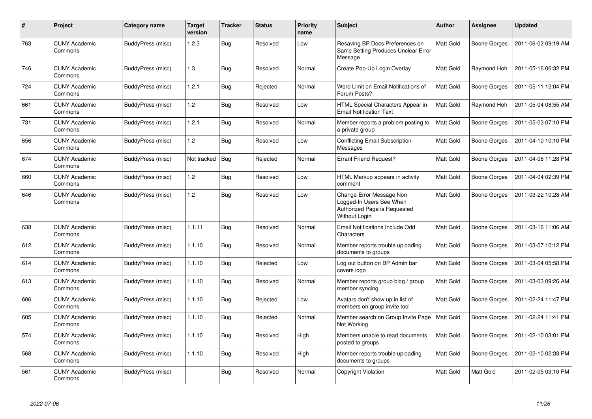| #   | <b>Project</b>                  | Category name     | <b>Target</b><br>version | <b>Tracker</b> | <b>Status</b> | <b>Priority</b><br>name | Subject                                                                                               | <b>Author</b> | Assignee            | <b>Updated</b>      |
|-----|---------------------------------|-------------------|--------------------------|----------------|---------------|-------------------------|-------------------------------------------------------------------------------------------------------|---------------|---------------------|---------------------|
| 763 | <b>CUNY Academic</b><br>Commons | BuddyPress (misc) | 1.2.3                    | Bug            | Resolved      | Low                     | Resaving BP Docs Preferences on<br>Same Setting Produces Unclear Error<br>Message                     | Matt Gold     | <b>Boone Gorges</b> | 2011-06-02 09:19 AM |
| 746 | <b>CUNY Academic</b><br>Commons | BuddyPress (misc) | 1.3                      | Bug            | Resolved      | Normal                  | Create Pop-Up Login Overlay                                                                           | Matt Gold     | Raymond Hoh         | 2011-05-16 06:32 PM |
| 724 | <b>CUNY Academic</b><br>Commons | BuddyPress (misc) | 1.2.1                    | Bug            | Rejected      | Normal                  | Word Limit on Email Notifications of<br>Forum Posts?                                                  | Matt Gold     | <b>Boone Gorges</b> | 2011-05-11 12:04 PM |
| 661 | <b>CUNY Academic</b><br>Commons | BuddyPress (misc) | 1.2                      | Bug            | Resolved      | Low                     | HTML Special Characters Appear in<br><b>Email Notification Text</b>                                   | Matt Gold     | Raymond Hoh         | 2011-05-04 08:55 AM |
| 731 | <b>CUNY Academic</b><br>Commons | BuddyPress (misc) | 1.2.1                    | <b>Bug</b>     | Resolved      | Normal                  | Member reports a problem posting to<br>a private group                                                | Matt Gold     | <b>Boone Gorges</b> | 2011-05-03 07:10 PM |
| 656 | <b>CUNY Academic</b><br>Commons | BuddyPress (misc) | 1.2                      | Bug            | Resolved      | Low                     | <b>Conflicting Email Subscription</b><br>Messages                                                     | Matt Gold     | Boone Gorges        | 2011-04-10 10:10 PM |
| 674 | <b>CUNY Academic</b><br>Commons | BuddyPress (misc) | Not tracked              | Bug            | Rejected      | Normal                  | <b>Errant Friend Request?</b>                                                                         | Matt Gold     | Boone Gorges        | 2011-04-06 11:28 PM |
| 660 | <b>CUNY Academic</b><br>Commons | BuddyPress (misc) | 1.2                      | Bug            | Resolved      | Low                     | HTML Markup appears in activity<br>comment                                                            | Matt Gold     | <b>Boone Gorges</b> | 2011-04-04 02:39 PM |
| 646 | <b>CUNY Academic</b><br>Commons | BuddyPress (misc) | 1.2                      | Bug            | Resolved      | Low                     | Change Error Message Non<br>Logged-In Users See When<br>Authorized Page is Requested<br>Without Login | Matt Gold     | <b>Boone Gorges</b> | 2011-03-22 10:28 AM |
| 638 | <b>CUNY Academic</b><br>Commons | BuddyPress (misc) | 1.1.11                   | Bug            | Resolved      | Normal                  | Email Notifications Include Odd<br>Characters                                                         | Matt Gold     | Boone Gorges        | 2011-03-16 11:06 AM |
| 612 | <b>CUNY Academic</b><br>Commons | BuddyPress (misc) | 1.1.10                   | Bug            | Resolved      | Normal                  | Member reports trouble uploading<br>documents to groups                                               | Matt Gold     | Boone Gorges        | 2011-03-07 10:12 PM |
| 614 | <b>CUNY Academic</b><br>Commons | BuddyPress (misc) | 1.1.10                   | Bug            | Rejected      | Low                     | Log out button on BP Admin bar<br>covers logo                                                         | Matt Gold     | Boone Gorges        | 2011-03-04 05:58 PM |
| 613 | <b>CUNY Academic</b><br>Commons | BuddyPress (misc) | 1.1.10                   | <b>Bug</b>     | Resolved      | Normal                  | Member reports group blog / group<br>member syncing                                                   | Matt Gold     | Boone Gorges        | 2011-03-03 09:26 AM |
| 606 | <b>CUNY Academic</b><br>Commons | BuddyPress (misc) | 1.1.10                   | Bug            | Rejected      | Low                     | Avatars don't show up in list of<br>members on group invite tool                                      | Matt Gold     | <b>Boone Gorges</b> | 2011-02-24 11:47 PM |
| 605 | <b>CUNY Academic</b><br>Commons | BuddyPress (misc) | 1.1.10                   | <b>Bug</b>     | Rejected      | Normal                  | Member search on Group Invite Page<br>Not Working                                                     | Matt Gold     | <b>Boone Gorges</b> | 2011-02-24 11:41 PM |
| 574 | <b>CUNY Academic</b><br>Commons | BuddyPress (misc) | 1.1.10                   | <b>Bug</b>     | Resolved      | High                    | Members unable to read documents<br>posted to groups                                                  | Matt Gold     | Boone Gorges        | 2011-02-10 03:01 PM |
| 568 | <b>CUNY Academic</b><br>Commons | BuddyPress (misc) | 1.1.10                   | <b>Bug</b>     | Resolved      | High                    | Member reports trouble uploading<br>documents to groups                                               | Matt Gold     | Boone Gorges        | 2011-02-10 02:33 PM |
| 561 | <b>CUNY Academic</b><br>Commons | BuddyPress (misc) |                          | Bug            | Resolved      | Normal                  | Copyright Violation                                                                                   | Matt Gold     | Matt Gold           | 2011-02-05 03:10 PM |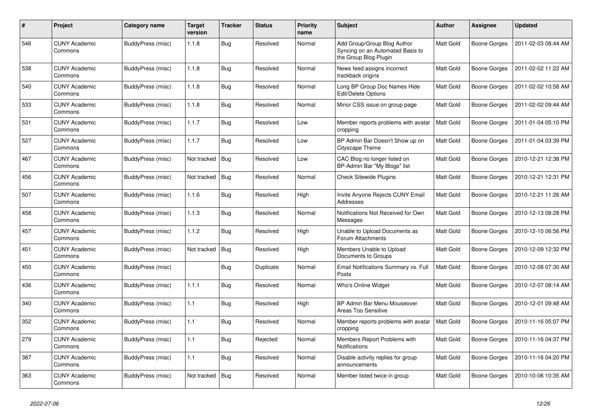| $\#$ | Project                         | Category name     | <b>Target</b><br>version | <b>Tracker</b> | <b>Status</b> | <b>Priority</b><br>name | <b>Subject</b>                                                                           | <b>Author</b> | Assignee            | <b>Updated</b>      |
|------|---------------------------------|-------------------|--------------------------|----------------|---------------|-------------------------|------------------------------------------------------------------------------------------|---------------|---------------------|---------------------|
| 546  | <b>CUNY Academic</b><br>Commons | BuddyPress (misc) | 1.1.8                    | <b>Bug</b>     | Resolved      | Normal                  | Add Group/Group Blog Author<br>Syncing on an Automated Basis to<br>the Group Blog Plugin | Matt Gold     | Boone Gorges        | 2011-02-03 08:44 AM |
| 538  | <b>CUNY Academic</b><br>Commons | BuddyPress (misc) | 1.1.8                    | <b>Bug</b>     | Resolved      | Normal                  | News feed assigns incorrect<br>trackback origins                                         | Matt Gold     | <b>Boone Gorges</b> | 2011-02-02 11:22 AM |
| 540  | <b>CUNY Academic</b><br>Commons | BuddyPress (misc) | 1.1.8                    | <b>Bug</b>     | Resolved      | Normal                  | Long BP Group Doc Names Hide<br>Edit/Delete Options                                      | Matt Gold     | Boone Gorges        | 2011-02-02 10:58 AM |
| 533  | <b>CUNY Academic</b><br>Commons | BuddyPress (misc) | 1.1.8                    | <b>Bug</b>     | Resolved      | Normal                  | Minor CSS issue on group page                                                            | Matt Gold     | <b>Boone Gorges</b> | 2011-02-02 09:44 AM |
| 531  | <b>CUNY Academic</b><br>Commons | BuddyPress (misc) | 1.1.7                    | <b>Bug</b>     | Resolved      | Low                     | Member reports problems with avatar<br>cropping                                          | Matt Gold     | Boone Gorges        | 2011-01-04 05:10 PM |
| 527  | <b>CUNY Academic</b><br>Commons | BuddyPress (misc) | 1.1.7                    | <b>Bug</b>     | Resolved      | Low                     | BP Admin Bar Doesn't Show up on<br>Cityscape Theme                                       | Matt Gold     | Boone Gorges        | 2011-01-04 03:39 PM |
| 467  | <b>CUNY Academic</b><br>Commons | BuddyPress (misc) | Not tracked              | Bug            | Resolved      | Low                     | CAC Blog no longer listed on<br>BP-Admin Bar "My Blogs" list                             | Matt Gold     | <b>Boone Gorges</b> | 2010-12-21 12:38 PM |
| 456  | <b>CUNY Academic</b><br>Commons | BuddyPress (misc) | Not tracked              | Bug            | Resolved      | Normal                  | <b>Check Sitewide Plugins</b>                                                            | Matt Gold     | Boone Gorges        | 2010-12-21 12:31 PM |
| 507  | <b>CUNY Academic</b><br>Commons | BuddyPress (misc) | 1.1.6                    | Bug            | Resolved      | High                    | Invite Anyone Rejects CUNY Email<br>Addresses                                            | Matt Gold     | Boone Gorges        | 2010-12-21 11:26 AM |
| 458  | <b>CUNY Academic</b><br>Commons | BuddyPress (misc) | 1.1.3                    | Bug            | Resolved      | Normal                  | Notifications Not Received for Own<br>Messages                                           | Matt Gold     | Boone Gorges        | 2010-12-13 08:28 PM |
| 457  | <b>CUNY Academic</b><br>Commons | BuddyPress (misc) | 1.1.2                    | Bug            | Resolved      | High                    | Unable to Upload Documents as<br>Forum Attachments                                       | Matt Gold     | Boone Gorges        | 2010-12-10 06:56 PM |
| 451  | <b>CUNY Academic</b><br>Commons | BuddyPress (misc) | Not tracked              | <b>Bug</b>     | Resolved      | High                    | Members Unable to Upload<br>Documents to Groups                                          | Matt Gold     | <b>Boone Gorges</b> | 2010-12-09 12:32 PM |
| 450  | <b>CUNY Academic</b><br>Commons | BuddyPress (misc) |                          | <b>Bug</b>     | Duplicate     | Normal                  | Email Notifications Summary vs. Full<br>Posts                                            | Matt Gold     | Boone Gorges        | 2010-12-08 07:30 AM |
| 436  | <b>CUNY Academic</b><br>Commons | BuddyPress (misc) | 1.1.1                    | <b>Bug</b>     | Resolved      | Normal                  | Who's Online Widget                                                                      | Matt Gold     | Boone Gorges        | 2010-12-07 08:14 AM |
| 340  | <b>CUNY Academic</b><br>Commons | BuddyPress (misc) | 1.1                      | <b>Bug</b>     | Resolved      | High                    | BP Admin Bar Menu Mouseover<br>Areas Too Sensitive                                       | Matt Gold     | <b>Boone Gorges</b> | 2010-12-01 09:48 AM |
| 352  | <b>CUNY Academic</b><br>Commons | BuddyPress (misc) | 1.1                      | <b>Bug</b>     | Resolved      | Normal                  | Member reports problems with avatar<br>cropping                                          | Matt Gold     | Boone Gorges        | 2010-11-16 05:07 PM |
| 279  | <b>CUNY Academic</b><br>Commons | BuddyPress (misc) | 1.1                      | <b>Bug</b>     | Rejected      | Normal                  | Members Report Problems with<br><b>Notifications</b>                                     | Matt Gold     | Boone Gorges        | 2010-11-16 04:37 PM |
| 387  | <b>CUNY Academic</b><br>Commons | BuddyPress (misc) | 1.1                      | <b>Bug</b>     | Resolved      | Normal                  | Disable activity replies for group<br>announcements                                      | Matt Gold     | Boone Gorges        | 2010-11-16 04:20 PM |
| 363  | <b>CUNY Academic</b><br>Commons | BuddyPress (misc) | Not tracked              | Bug            | Resolved      | Normal                  | Member listed twice in group                                                             | Matt Gold     | <b>Boone Gorges</b> | 2010-10-06 10:35 AM |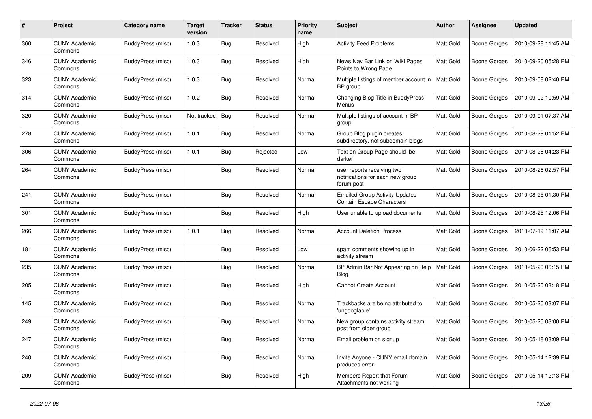| #   | Project                         | Category name            | <b>Target</b><br>version | <b>Tracker</b> | <b>Status</b> | <b>Priority</b><br>name | <b>Subject</b>                                                               | <b>Author</b> | <b>Assignee</b> | <b>Updated</b>      |
|-----|---------------------------------|--------------------------|--------------------------|----------------|---------------|-------------------------|------------------------------------------------------------------------------|---------------|-----------------|---------------------|
| 360 | <b>CUNY Academic</b><br>Commons | BuddyPress (misc)        | 1.0.3                    | <b>Bug</b>     | Resolved      | High                    | <b>Activity Feed Problems</b>                                                | Matt Gold     | Boone Gorges    | 2010-09-28 11:45 AM |
| 346 | <b>CUNY Academic</b><br>Commons | BuddyPress (misc)        | 1.0.3                    | Bug            | Resolved      | High                    | News Nav Bar Link on Wiki Pages<br>Points to Wrong Page                      | Matt Gold     | Boone Gorges    | 2010-09-20 05:28 PM |
| 323 | <b>CUNY Academic</b><br>Commons | BuddyPress (misc)        | 1.0.3                    | Bug            | Resolved      | Normal                  | Multiple listings of member account in<br>BP group                           | Matt Gold     | Boone Gorges    | 2010-09-08 02:40 PM |
| 314 | <b>CUNY Academic</b><br>Commons | BuddyPress (misc)        | 1.0.2                    | Bug            | Resolved      | Normal                  | Changing Blog Title in BuddyPress<br>Menus                                   | Matt Gold     | Boone Gorges    | 2010-09-02 10:59 AM |
| 320 | <b>CUNY Academic</b><br>Commons | BuddyPress (misc)        | Not tracked              | Bug            | Resolved      | Normal                  | Multiple listings of account in BP<br>group                                  | Matt Gold     | Boone Gorges    | 2010-09-01 07:37 AM |
| 278 | <b>CUNY Academic</b><br>Commons | BuddyPress (misc)        | 1.0.1                    | Bug            | Resolved      | Normal                  | Group Blog plugin creates<br>subdirectory, not subdomain blogs               | Matt Gold     | Boone Gorges    | 2010-08-29 01:52 PM |
| 306 | <b>CUNY Academic</b><br>Commons | BuddyPress (misc)        | 1.0.1                    | <b>Bug</b>     | Rejected      | Low                     | Text on Group Page should be<br>darker                                       | Matt Gold     | Boone Gorges    | 2010-08-26 04:23 PM |
| 264 | CUNY Academic<br>Commons        | BuddyPress (misc)        |                          | <b>Bug</b>     | Resolved      | Normal                  | user reports receiving two<br>notifications for each new group<br>forum post | Matt Gold     | Boone Gorges    | 2010-08-26 02:57 PM |
| 241 | <b>CUNY Academic</b><br>Commons | BuddyPress (misc)        |                          | Bug            | Resolved      | Normal                  | <b>Emailed Group Activity Updates</b><br><b>Contain Escape Characters</b>    | Matt Gold     | Boone Gorges    | 2010-08-25 01:30 PM |
| 301 | <b>CUNY Academic</b><br>Commons | BuddyPress (misc)        |                          | <b>Bug</b>     | Resolved      | High                    | User unable to upload documents                                              | Matt Gold     | Boone Gorges    | 2010-08-25 12:06 PM |
| 266 | <b>CUNY Academic</b><br>Commons | <b>BuddyPress (misc)</b> | 1.0.1                    | Bug            | Resolved      | Normal                  | <b>Account Deletion Process</b>                                              | Matt Gold     | Boone Gorges    | 2010-07-19 11:07 AM |
| 181 | <b>CUNY Academic</b><br>Commons | BuddyPress (misc)        |                          | <b>Bug</b>     | Resolved      | Low                     | spam comments showing up in<br>activity stream                               | Matt Gold     | Boone Gorges    | 2010-06-22 06:53 PM |
| 235 | <b>CUNY Academic</b><br>Commons | BuddyPress (misc)        |                          | <b>Bug</b>     | Resolved      | Normal                  | BP Admin Bar Not Appearing on Help<br>Blog                                   | Matt Gold     | Boone Gorges    | 2010-05-20 06:15 PM |
| 205 | <b>CUNY Academic</b><br>Commons | BuddyPress (misc)        |                          | <b>Bug</b>     | Resolved      | High                    | <b>Cannot Create Account</b>                                                 | Matt Gold     | Boone Gorges    | 2010-05-20 03:18 PM |
| 145 | <b>CUNY Academic</b><br>Commons | BuddyPress (misc)        |                          | Bug            | Resolved      | Normal                  | Trackbacks are being attributed to<br>'ungooglable'                          | Matt Gold     | Boone Gorges    | 2010-05-20 03:07 PM |
| 249 | <b>CUNY Academic</b><br>Commons | BuddyPress (misc)        |                          | <b>Bug</b>     | Resolved      | Normal                  | New group contains activity stream<br>post from older group                  | Matt Gold     | Boone Gorges    | 2010-05-20 03:00 PM |
| 247 | <b>CUNY Academic</b><br>Commons | BuddyPress (misc)        |                          | Bug            | Resolved      | Normal                  | Email problem on signup                                                      | Matt Gold     | Boone Gorges    | 2010-05-18 03:09 PM |
| 240 | <b>CUNY Academic</b><br>Commons | BuddyPress (misc)        |                          | <b>Bug</b>     | Resolved      | Normal                  | Invite Anyone - CUNY email domain<br>produces error                          | Matt Gold     | Boone Gorges    | 2010-05-14 12:39 PM |
| 209 | <b>CUNY Academic</b><br>Commons | BuddyPress (misc)        |                          | <b>Bug</b>     | Resolved      | High                    | Members Report that Forum<br>Attachments not working                         | Matt Gold     | Boone Gorges    | 2010-05-14 12:13 PM |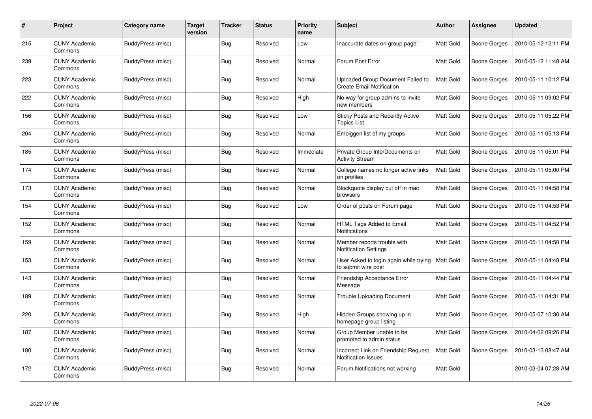| #   | Project                         | Category name     | <b>Target</b><br>version | <b>Tracker</b> | <b>Status</b> | <b>Priority</b><br>name | <b>Subject</b>                                                        | Author    | Assignee            | <b>Updated</b>      |
|-----|---------------------------------|-------------------|--------------------------|----------------|---------------|-------------------------|-----------------------------------------------------------------------|-----------|---------------------|---------------------|
| 215 | <b>CUNY Academic</b><br>Commons | BuddyPress (misc) |                          | <b>Bug</b>     | Resolved      | Low                     | Inaccurate dates on group page`                                       | Matt Gold | Boone Gorges        | 2010-05-12 12:11 PM |
| 239 | <b>CUNY Academic</b><br>Commons | BuddyPress (misc) |                          | Bug            | Resolved      | Normal                  | Forum Post Error                                                      | Matt Gold | Boone Gorges        | 2010-05-12 11:48 AM |
| 223 | <b>CUNY Academic</b><br>Commons | BuddyPress (misc) |                          | Bug            | Resolved      | Normal                  | Uploaded Group Document Failed to<br><b>Create Email Notification</b> | Matt Gold | Boone Gorges        | 2010-05-11 10:12 PM |
| 222 | <b>CUNY Academic</b><br>Commons | BuddyPress (misc) |                          | <b>Bug</b>     | Resolved      | High                    | No way for group admins to invite<br>new members                      | Matt Gold | Boone Gorges        | 2010-05-11 09:02 PM |
| 156 | <b>CUNY Academic</b><br>Commons | BuddyPress (misc) |                          | Bug            | Resolved      | Low                     | Sticky Posts and Recently Active<br><b>Topics List</b>                | Matt Gold | <b>Boone Gorges</b> | 2010-05-11 05:22 PM |
| 204 | <b>CUNY Academic</b><br>Commons | BuddyPress (misc) |                          | Bug            | Resolved      | Normal                  | Embiggen list of my groups                                            | Matt Gold | Boone Gorges        | 2010-05-11 05:13 PM |
| 185 | <b>CUNY Academic</b><br>Commons | BuddyPress (misc) |                          | Bug            | Resolved      | Immediate               | Private Group Info/Documents on<br><b>Activity Stream</b>             | Matt Gold | Boone Gorges        | 2010-05-11 05:01 PM |
| 174 | <b>CUNY Academic</b><br>Commons | BuddyPress (misc) |                          | <b>Bug</b>     | Resolved      | Normal                  | College names no longer active links<br>on profiles                   | Matt Gold | Boone Gorges        | 2010-05-11 05:00 PM |
| 173 | <b>CUNY Academic</b><br>Commons | BuddyPress (misc) |                          | Bug            | Resolved      | Normal                  | Blockquote display cut off in mac<br>browsers                         | Matt Gold | Boone Gorges        | 2010-05-11 04:58 PM |
| 154 | <b>CUNY Academic</b><br>Commons | BuddyPress (misc) |                          | Bug            | Resolved      | Low                     | Order of posts on Forum page                                          | Matt Gold | Boone Gorges        | 2010-05-11 04:53 PM |
| 152 | <b>CUNY Academic</b><br>Commons | BuddyPress (misc) |                          | <b>Bug</b>     | Resolved      | Normal                  | HTML Tags Added to Email<br><b>Notifications</b>                      | Matt Gold | Boone Gorges        | 2010-05-11 04:52 PM |
| 159 | <b>CUNY Academic</b><br>Commons | BuddyPress (misc) |                          | <b>Bug</b>     | Resolved      | Normal                  | Member reports trouble with<br><b>Notification Settings</b>           | Matt Gold | Boone Gorges        | 2010-05-11 04:50 PM |
| 153 | <b>CUNY Academic</b><br>Commons | BuddyPress (misc) |                          | Bug            | Resolved      | Normal                  | User Asked to login again while trying<br>to submit wire post         | Matt Gold | Boone Gorges        | 2010-05-11 04:48 PM |
| 143 | <b>CUNY Academic</b><br>Commons | BuddyPress (misc) |                          | <b>Bug</b>     | Resolved      | Normal                  | Friendship Acceptance Error<br>Message                                | Matt Gold | Boone Gorges        | 2010-05-11 04:44 PM |
| 189 | <b>CUNY Academic</b><br>Commons | BuddyPress (misc) |                          | <b>Bug</b>     | Resolved      | Normal                  | <b>Trouble Uploading Document</b>                                     | Matt Gold | Boone Gorges        | 2010-05-11 04:31 PM |
| 220 | <b>CUNY Academic</b><br>Commons | BuddyPress (misc) |                          | <b>Bug</b>     | Resolved      | High                    | Hidden Groups showing up in<br>homepage group listing                 | Matt Gold | Boone Gorges        | 2010-05-07 10:30 AM |
| 187 | <b>CUNY Academic</b><br>Commons | BuddyPress (misc) |                          | Bug            | Resolved      | Normal                  | Group Member unable to be<br>promoted to admin status                 | Matt Gold | Boone Gorges        | 2010-04-02 09:26 PM |
| 180 | <b>CUNY Academic</b><br>Commons | BuddyPress (misc) |                          | <b>Bug</b>     | Resolved      | Normal                  | Incorrect Link on Friendship Request<br><b>Notification Issues</b>    | Matt Gold | Boone Gorges        | 2010-03-13 08:47 AM |
| 172 | <b>CUNY Academic</b><br>Commons | BuddyPress (misc) |                          | <b>Bug</b>     | Resolved      | Normal                  | Forum Notifications not working                                       | Matt Gold |                     | 2010-03-04 07:28 AM |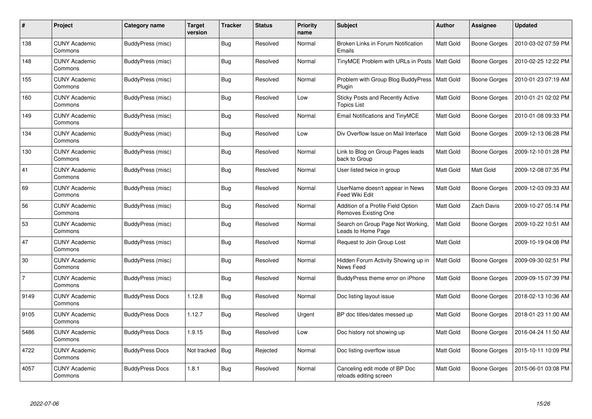| #              | Project                         | Category name          | <b>Target</b><br>version | <b>Tracker</b> | <b>Status</b> | <b>Priority</b><br>name | <b>Subject</b>                                                | <b>Author</b>    | Assignee            | <b>Updated</b>      |
|----------------|---------------------------------|------------------------|--------------------------|----------------|---------------|-------------------------|---------------------------------------------------------------|------------------|---------------------|---------------------|
| 138            | <b>CUNY Academic</b><br>Commons | BuddyPress (misc)      |                          | <b>Bug</b>     | Resolved      | Normal                  | Broken Links in Forum Notification<br>Emails                  | Matt Gold        | <b>Boone Gorges</b> | 2010-03-02 07:59 PM |
| 148            | <b>CUNY Academic</b><br>Commons | BuddyPress (misc)      |                          | <b>Bug</b>     | Resolved      | Normal                  | TinyMCE Problem with URLs in Posts   Matt Gold                |                  | <b>Boone Gorges</b> | 2010-02-25 12:22 PM |
| 155            | <b>CUNY Academic</b><br>Commons | BuddyPress (misc)      |                          | Bug            | Resolved      | Normal                  | Problem with Group Blog BuddyPress<br>Plugin                  | <b>Matt Gold</b> | <b>Boone Gorges</b> | 2010-01-23 07:19 AM |
| 160            | <b>CUNY Academic</b><br>Commons | BuddyPress (misc)      |                          | Bug            | Resolved      | Low                     | <b>Sticky Posts and Recently Active</b><br><b>Topics List</b> | Matt Gold        | Boone Gorges        | 2010-01-21 02:02 PM |
| 149            | <b>CUNY Academic</b><br>Commons | BuddyPress (misc)      |                          | <b>Bug</b>     | Resolved      | Normal                  | <b>Email Notifications and TinyMCE</b>                        | Matt Gold        | <b>Boone Gorges</b> | 2010-01-08 09:33 PM |
| 134            | <b>CUNY Academic</b><br>Commons | BuddyPress (misc)      |                          | <b>Bug</b>     | Resolved      | Low                     | Div Overflow Issue on Mail Interface                          | Matt Gold        | <b>Boone Gorges</b> | 2009-12-13 06:28 PM |
| 130            | <b>CUNY Academic</b><br>Commons | BuddyPress (misc)      |                          | Bug            | Resolved      | Normal                  | Link to Blog on Group Pages leads<br>back to Group            | Matt Gold        | <b>Boone Gorges</b> | 2009-12-10 01:28 PM |
| 41             | <b>CUNY Academic</b><br>Commons | BuddyPress (misc)      |                          | Bug            | Resolved      | Normal                  | User listed twice in group                                    | Matt Gold        | Matt Gold           | 2009-12-08 07:35 PM |
| 69             | <b>CUNY Academic</b><br>Commons | BuddyPress (misc)      |                          | <b>Bug</b>     | Resolved      | Normal                  | UserName doesn't appear in News<br>Feed Wiki Edit             | Matt Gold        | <b>Boone Gorges</b> | 2009-12-03 09:33 AM |
| 56             | <b>CUNY Academic</b><br>Commons | BuddyPress (misc)      |                          | Bug            | Resolved      | Normal                  | Addition of a Profile Field Option<br>Removes Existing One    | Matt Gold        | Zach Davis          | 2009-10-27 05:14 PM |
| 53             | <b>CUNY Academic</b><br>Commons | BuddyPress (misc)      |                          | Bug            | Resolved      | Normal                  | Search on Group Page Not Working.<br>Leads to Home Page       | Matt Gold        | <b>Boone Gorges</b> | 2009-10-22 10:51 AM |
| 47             | <b>CUNY Academic</b><br>Commons | BuddyPress (misc)      |                          | Bug            | Resolved      | Normal                  | Request to Join Group Lost                                    | Matt Gold        |                     | 2009-10-19 04:08 PM |
| 30             | <b>CUNY Academic</b><br>Commons | BuddyPress (misc)      |                          | <b>Bug</b>     | Resolved      | Normal                  | Hidden Forum Activity Showing up in<br>News Feed              | Matt Gold        | <b>Boone Gorges</b> | 2009-09-30 02:51 PM |
| $\overline{7}$ | <b>CUNY Academic</b><br>Commons | BuddyPress (misc)      |                          | <b>Bug</b>     | Resolved      | Normal                  | BuddyPress theme error on iPhone                              | Matt Gold        | <b>Boone Gorges</b> | 2009-09-15 07:39 PM |
| 9149           | <b>CUNY Academic</b><br>Commons | <b>BuddyPress Docs</b> | 1.12.8                   | Bug            | Resolved      | Normal                  | Doc listing layout issue                                      | Matt Gold        | <b>Boone Gorges</b> | 2018-02-13 10:36 AM |
| 9105           | <b>CUNY Academic</b><br>Commons | <b>BuddyPress Docs</b> | 1.12.7                   | Bug            | Resolved      | Urgent                  | BP doc titles/dates messed up                                 | Matt Gold        | <b>Boone Gorges</b> | 2018-01-23 11:00 AM |
| 5486           | <b>CUNY Academic</b><br>Commons | <b>BuddyPress Docs</b> | 1.9.15                   | <b>Bug</b>     | Resolved      | Low                     | Doc history not showing up                                    | Matt Gold        | Boone Gorges        | 2016-04-24 11:50 AM |
| 4722           | <b>CUNY Academic</b><br>Commons | <b>BuddyPress Docs</b> | Not tracked              | Bug            | Rejected      | Normal                  | Doc listing overflow issue                                    | Matt Gold        | <b>Boone Gorges</b> | 2015-10-11 10:09 PM |
| 4057           | <b>CUNY Academic</b><br>Commons | <b>BuddyPress Docs</b> | 1.8.1                    | Bug            | Resolved      | Normal                  | Canceling edit mode of BP Doc<br>reloads editing screen       | Matt Gold        | <b>Boone Gorges</b> | 2015-06-01 03:08 PM |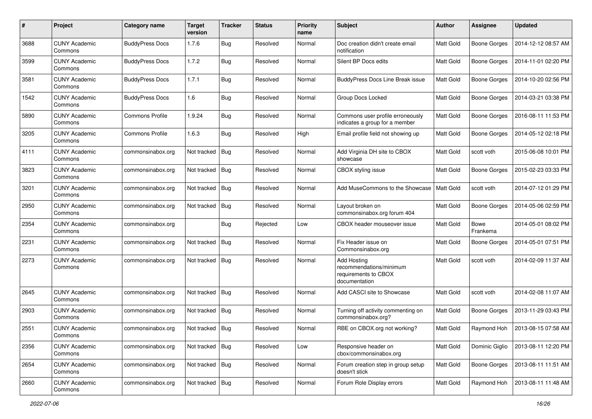| #    | Project                         | <b>Category name</b>   | <b>Target</b><br>version | <b>Tracker</b> | <b>Status</b> | <b>Priority</b><br>name | <b>Subject</b>                                                                         | <b>Author</b> | Assignee            | <b>Updated</b>      |
|------|---------------------------------|------------------------|--------------------------|----------------|---------------|-------------------------|----------------------------------------------------------------------------------------|---------------|---------------------|---------------------|
| 3688 | <b>CUNY Academic</b><br>Commons | <b>BuddyPress Docs</b> | 1.7.6                    | Bug            | Resolved      | Normal                  | Doc creation didn't create email<br>notification                                       | Matt Gold     | <b>Boone Gorges</b> | 2014-12-12 08:57 AM |
| 3599 | <b>CUNY Academic</b><br>Commons | <b>BuddyPress Docs</b> | 1.7.2                    | <b>Bug</b>     | Resolved      | Normal                  | Silent BP Docs edits                                                                   | Matt Gold     | <b>Boone Gorges</b> | 2014-11-01 02:20 PM |
| 3581 | <b>CUNY Academic</b><br>Commons | <b>BuddyPress Docs</b> | 1.7.1                    | <b>Bug</b>     | Resolved      | Normal                  | <b>BuddyPress Docs Line Break issue</b>                                                | Matt Gold     | <b>Boone Gorges</b> | 2014-10-20 02:56 PM |
| 1542 | <b>CUNY Academic</b><br>Commons | <b>BuddyPress Docs</b> | 1.6                      | Bug            | Resolved      | Normal                  | Group Docs Locked                                                                      | Matt Gold     | <b>Boone Gorges</b> | 2014-03-21 03:38 PM |
| 5890 | <b>CUNY Academic</b><br>Commons | <b>Commons Profile</b> | 1.9.24                   | Bug            | Resolved      | Normal                  | Commons user profile erroneously<br>indicates a group for a member                     | Matt Gold     | <b>Boone Gorges</b> | 2016-08-11 11:53 PM |
| 3205 | <b>CUNY Academic</b><br>Commons | <b>Commons Profile</b> | 1.6.3                    | Bug            | Resolved      | High                    | Email profile field not showing up                                                     | Matt Gold     | <b>Boone Gorges</b> | 2014-05-12 02:18 PM |
| 4111 | <b>CUNY Academic</b><br>Commons | commonsinabox.org      | Not tracked              | Bug            | Resolved      | Normal                  | Add Virginia DH site to CBOX<br>showcase                                               | Matt Gold     | scott voth          | 2015-06-08 10:01 PM |
| 3823 | <b>CUNY Academic</b><br>Commons | commonsinabox.org      | Not tracked              | Bug            | Resolved      | Normal                  | CBOX styling issue                                                                     | Matt Gold     | <b>Boone Gorges</b> | 2015-02-23 03:33 PM |
| 3201 | <b>CUNY Academic</b><br>Commons | commonsinabox.org      | Not tracked              | Bug            | Resolved      | Normal                  | Add MuseCommons to the Showcase                                                        | Matt Gold     | scott voth          | 2014-07-12 01:29 PM |
| 2950 | <b>CUNY Academic</b><br>Commons | commonsinabox.org      | Not tracked              | Bug            | Resolved      | Normal                  | Layout broken on<br>commonsinabox.org forum 404                                        | Matt Gold     | <b>Boone Gorges</b> | 2014-05-06 02:59 PM |
| 2354 | <b>CUNY Academic</b><br>Commons | commonsinabox.org      |                          | Bug            | Rejected      | Low                     | CBOX header mouseover issue                                                            | Matt Gold     | Bowe<br>Frankema    | 2014-05-01 08:02 PM |
| 2231 | <b>CUNY Academic</b><br>Commons | commonsinabox.org      | Not tracked              | Bug            | Resolved      | Normal                  | Fix Header issue on<br>Commonsinabox.org                                               | Matt Gold     | <b>Boone Gorges</b> | 2014-05-01 07:51 PM |
| 2273 | <b>CUNY Academic</b><br>Commons | commonsinabox.org      | Not tracked Bug          |                | Resolved      | Normal                  | <b>Add Hosting</b><br>recommendations/minimum<br>requirements to CBOX<br>documentation | Matt Gold     | scott voth          | 2014-02-09 11:37 AM |
| 2645 | <b>CUNY Academic</b><br>Commons | commonsinabox.org      | Not tracked              | Bug            | Resolved      | Normal                  | Add CASCI site to Showcase                                                             | Matt Gold     | scott voth          | 2014-02-08 11:07 AM |
| 2903 | <b>CUNY Academic</b><br>Commons | commonsinabox.org      | Not tracked   Bug        |                | Resolved      | Normal                  | Turning off activity commenting on<br>commonsinabox.org?                               | Matt Gold     | <b>Boone Gorges</b> | 2013-11-29 03:43 PM |
| 2551 | <b>CUNY Academic</b><br>Commons | commonsinabox.org      | Not tracked Bug          |                | Resolved      | Normal                  | RBE on CBOX.org not working?                                                           | Matt Gold     | Raymond Hoh         | 2013-08-15 07:58 AM |
| 2356 | <b>CUNY Academic</b><br>Commons | commonsinabox.org      | Not tracked   Bug        |                | Resolved      | Low                     | Responsive header on<br>cbox/commonsinabox.org                                         | Matt Gold     | Dominic Giglio      | 2013-08-11 12:20 PM |
| 2654 | <b>CUNY Academic</b><br>Commons | commonsinabox.org      | Not tracked Bug          |                | Resolved      | Normal                  | Forum creation step in group setup<br>doesn't stick                                    | Matt Gold     | Boone Gorges        | 2013-08-11 11:51 AM |
| 2660 | <b>CUNY Academic</b><br>Commons | commonsinabox.org      | Not tracked   Bug        |                | Resolved      | Normal                  | Forum Role Display errors                                                              | Matt Gold     | Raymond Hoh         | 2013-08-11 11:48 AM |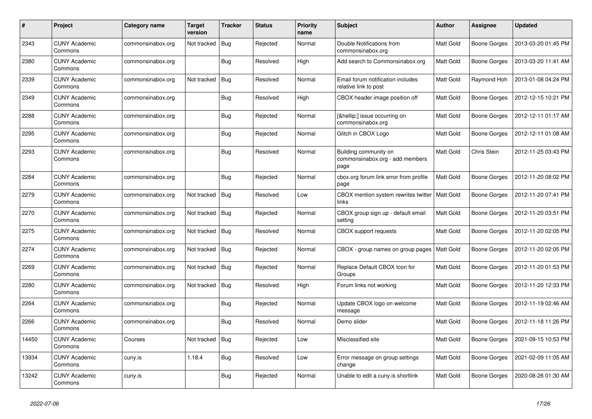| $\#$  | Project                         | Category name     | <b>Target</b><br>version | <b>Tracker</b> | <b>Status</b> | <b>Priority</b><br>name | <b>Subject</b>                                                   | <b>Author</b>    | Assignee            | <b>Updated</b>      |
|-------|---------------------------------|-------------------|--------------------------|----------------|---------------|-------------------------|------------------------------------------------------------------|------------------|---------------------|---------------------|
| 2343  | <b>CUNY Academic</b><br>Commons | commonsinabox.org | Not tracked              | <b>Bug</b>     | Rejected      | Normal                  | Double Notifications from<br>commonsinabox.org                   | Matt Gold        | <b>Boone Gorges</b> | 2013-03-20 01:45 PM |
| 2380  | <b>CUNY Academic</b><br>Commons | commonsinabox.org |                          | Bug            | Resolved      | High                    | Add search to Commonsinabox.org                                  | Matt Gold        | Boone Gorges        | 2013-03-20 11:41 AM |
| 2339  | <b>CUNY Academic</b><br>Commons | commonsinabox.org | Not tracked              | Bug            | Resolved      | Normal                  | Email forum notification includes<br>relative link to post       | Matt Gold        | Raymond Hoh         | 2013-01-08 04:24 PM |
| 2349  | <b>CUNY Academic</b><br>Commons | commonsinabox.org |                          | <b>Bug</b>     | Resolved      | High                    | CBOX header image position off                                   | Matt Gold        | <b>Boone Gorges</b> | 2012-12-15 10:21 PM |
| 2288  | <b>CUNY Academic</b><br>Commons | commonsinabox.org |                          | Bug            | Rejected      | Normal                  | […] issue occurring on<br>commonsinabox.org                      | Matt Gold        | <b>Boone Gorges</b> | 2012-12-11 01:17 AM |
| 2295  | <b>CUNY Academic</b><br>Commons | commonsinabox.org |                          | <b>Bug</b>     | Rejected      | Normal                  | Glitch in CBOX Logo                                              | Matt Gold        | <b>Boone Gorges</b> | 2012-12-11 01:08 AM |
| 2293  | <b>CUNY Academic</b><br>Commons | commonsinabox.org |                          | Bug            | Resolved      | Normal                  | Building community on<br>commonsinabox.org - add members<br>page | Matt Gold        | Chris Stein         | 2012-11-25 03:43 PM |
| 2284  | <b>CUNY Academic</b><br>Commons | commonsinabox.org |                          | <b>Bug</b>     | Rejected      | Normal                  | cbox.org forum link error from profile<br>page                   | Matt Gold        | <b>Boone Gorges</b> | 2012-11-20 08:02 PM |
| 2279  | <b>CUNY Academic</b><br>Commons | commonsinabox.org | Not tracked              | Bug            | Resolved      | Low                     | CBOX mention system rewrites twitter<br>links                    | <b>Matt Gold</b> | Boone Gorges        | 2012-11-20 07:41 PM |
| 2270  | <b>CUNY Academic</b><br>Commons | commonsinabox.org | Not tracked              | Bug            | Rejected      | Normal                  | CBOX group sign up - default email<br>setting                    | Matt Gold        | <b>Boone Gorges</b> | 2012-11-20 03:51 PM |
| 2275  | <b>CUNY Academic</b><br>Commons | commonsinabox.org | Not tracked              | <b>Bug</b>     | Resolved      | Normal                  | <b>CBOX</b> support requests                                     | Matt Gold        | Boone Gorges        | 2012-11-20 02:05 PM |
| 2274  | <b>CUNY Academic</b><br>Commons | commonsinabox.org | Not tracked              | <b>Bug</b>     | Rejected      | Normal                  | CBOX - group names on group pages                                | Matt Gold        | <b>Boone Gorges</b> | 2012-11-20 02:05 PM |
| 2269  | <b>CUNY Academic</b><br>Commons | commonsinabox.org | Not tracked              | Bug            | Rejected      | Normal                  | Replace Default CBOX Icon for<br>Groups                          | Matt Gold        | Boone Gorges        | 2012-11-20 01:53 PM |
| 2280  | <b>CUNY Academic</b><br>Commons | commonsinabox.org | Not tracked              | Bug            | Resolved      | High                    | Forum links not working                                          | Matt Gold        | <b>Boone Gorges</b> | 2012-11-20 12:33 PM |
| 2264  | <b>CUNY Academic</b><br>Commons | commonsinabox.org |                          | <b>Bug</b>     | Rejected      | Normal                  | Update CBOX logo on welcome<br>message                           | Matt Gold        | <b>Boone Gorges</b> | 2012-11-19 02:46 AM |
| 2266  | <b>CUNY Academic</b><br>Commons | commonsinabox.org |                          | Bug            | Resolved      | Normal                  | Demo slider                                                      | Matt Gold        | Boone Gorges        | 2012-11-18 11:26 PM |
| 14450 | <b>CUNY Academic</b><br>Commons | Courses           | Not tracked              | Bug            | Rejected      | Low                     | Misclassified site                                               | Matt Gold        | Boone Gorges        | 2021-09-15 10:53 PM |
| 13934 | <b>CUNY Academic</b><br>Commons | cuny.is           | 1.18.4                   | <b>Bug</b>     | Resolved      | Low                     | Error message on group settings<br>change                        | Matt Gold        | <b>Boone Gorges</b> | 2021-02-09 11:05 AM |
| 13242 | <b>CUNY Academic</b><br>Commons | cuny.is           |                          | <b>Bug</b>     | Rejected      | Normal                  | Unable to edit a cuny.is shortlink                               | Matt Gold        | <b>Boone Gorges</b> | 2020-08-26 01:30 AM |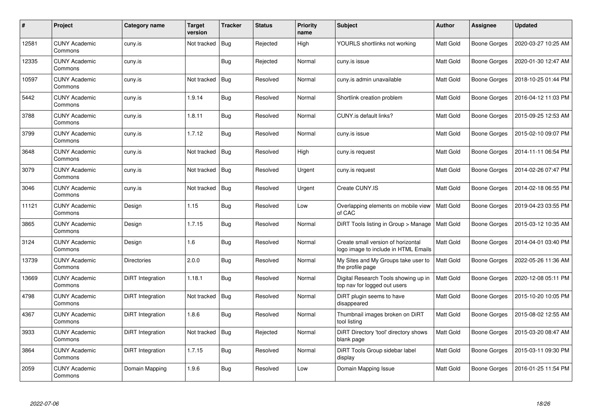| #     | <b>Project</b>                  | Category name      | <b>Target</b><br>version | <b>Tracker</b> | <b>Status</b> | Priority<br>name | <b>Subject</b>                                                             | <b>Author</b> | Assignee            | <b>Updated</b>      |
|-------|---------------------------------|--------------------|--------------------------|----------------|---------------|------------------|----------------------------------------------------------------------------|---------------|---------------------|---------------------|
| 12581 | <b>CUNY Academic</b><br>Commons | cuny.is            | Not tracked              | Bug            | Rejected      | High             | YOURLS shortlinks not working                                              | Matt Gold     | <b>Boone Gorges</b> | 2020-03-27 10:25 AM |
| 12335 | <b>CUNY Academic</b><br>Commons | cuny.is            |                          | <b>Bug</b>     | Rejected      | Normal           | cuny is issue                                                              | Matt Gold     | Boone Gorges        | 2020-01-30 12:47 AM |
| 10597 | <b>CUNY Academic</b><br>Commons | cuny.is            | Not tracked              | Bug            | Resolved      | Normal           | cuny is admin unavailable                                                  | Matt Gold     | <b>Boone Gorges</b> | 2018-10-25 01:44 PM |
| 5442  | <b>CUNY Academic</b><br>Commons | cuny.is            | 1.9.14                   | Bug            | Resolved      | Normal           | Shortlink creation problem                                                 | Matt Gold     | Boone Gorges        | 2016-04-12 11:03 PM |
| 3788  | <b>CUNY Academic</b><br>Commons | cuny.is            | 1.8.11                   | Bug            | Resolved      | Normal           | CUNY.is default links?                                                     | Matt Gold     | <b>Boone Gorges</b> | 2015-09-25 12:53 AM |
| 3799  | <b>CUNY Academic</b><br>Commons | cuny.is            | 1.7.12                   | Bug            | Resolved      | Normal           | cuny.is issue                                                              | Matt Gold     | <b>Boone Gorges</b> | 2015-02-10 09:07 PM |
| 3648  | <b>CUNY Academic</b><br>Commons | cuny.is            | Not tracked              | Bug            | Resolved      | High             | cuny.is request                                                            | Matt Gold     | Boone Gorges        | 2014-11-11 06:54 PM |
| 3079  | <b>CUNY Academic</b><br>Commons | cuny.is            | Not tracked              | Bug            | Resolved      | Urgent           | cuny.is request                                                            | Matt Gold     | Boone Gorges        | 2014-02-26 07:47 PM |
| 3046  | <b>CUNY Academic</b><br>Commons | cuny.is            | Not tracked              | Bug            | Resolved      | Urgent           | Create CUNY.IS                                                             | Matt Gold     | <b>Boone Gorges</b> | 2014-02-18 06:55 PM |
| 11121 | <b>CUNY Academic</b><br>Commons | Design             | 1.15                     | <b>Bug</b>     | Resolved      | Low              | Overlapping elements on mobile view<br>of CAC                              | Matt Gold     | <b>Boone Gorges</b> | 2019-04-23 03:55 PM |
| 3865  | <b>CUNY Academic</b><br>Commons | Design             | 1.7.15                   | Bug            | Resolved      | Normal           | DiRT Tools listing in Group > Manage                                       | Matt Gold     | <b>Boone Gorges</b> | 2015-03-12 10:35 AM |
| 3124  | <b>CUNY Academic</b><br>Commons | Design             | 1.6                      | Bug            | Resolved      | Normal           | Create small version of horizontal<br>logo image to include in HTML Emails | Matt Gold     | Boone Gorges        | 2014-04-01 03:40 PM |
| 13739 | <b>CUNY Academic</b><br>Commons | <b>Directories</b> | 2.0.0                    | <b>Bug</b>     | Resolved      | Normal           | My Sites and My Groups take user to<br>the profile page                    | Matt Gold     | Boone Gorges        | 2022-05-26 11:36 AM |
| 13669 | <b>CUNY Academic</b><br>Commons | DiRT Integration   | 1.18.1                   | Bug            | Resolved      | Normal           | Digital Research Tools showing up in<br>top nav for logged out users       | Matt Gold     | Boone Gorges        | 2020-12-08 05:11 PM |
| 4798  | <b>CUNY Academic</b><br>Commons | DiRT Integration   | Not tracked              | Bug            | Resolved      | Normal           | DiRT plugin seems to have<br>disappeared                                   | Matt Gold     | Boone Gorges        | 2015-10-20 10:05 PM |
| 4367  | <b>CUNY Academic</b><br>Commons | DiRT Integration   | 1.8.6                    | Bug            | Resolved      | Normal           | Thumbnail images broken on DiRT<br>tool listing                            | Matt Gold     | Boone Gorges        | 2015-08-02 12:55 AM |
| 3933  | <b>CUNY Academic</b><br>Commons | DiRT Integration   | Not tracked              | Bug            | Rejected      | Normal           | DiRT Directory 'tool' directory shows<br>blank page                        | Matt Gold     | Boone Gorges        | 2015-03-20 08:47 AM |
| 3864  | <b>CUNY Academic</b><br>Commons | DiRT Integration   | 1.7.15                   | Bug            | Resolved      | Normal           | DiRT Tools Group sidebar label<br>display                                  | Matt Gold     | Boone Gorges        | 2015-03-11 09:30 PM |
| 2059  | <b>CUNY Academic</b><br>Commons | Domain Mapping     | 1.9.6                    | Bug            | Resolved      | Low              | Domain Mapping Issue                                                       | Matt Gold     | Boone Gorges        | 2016-01-25 11:54 PM |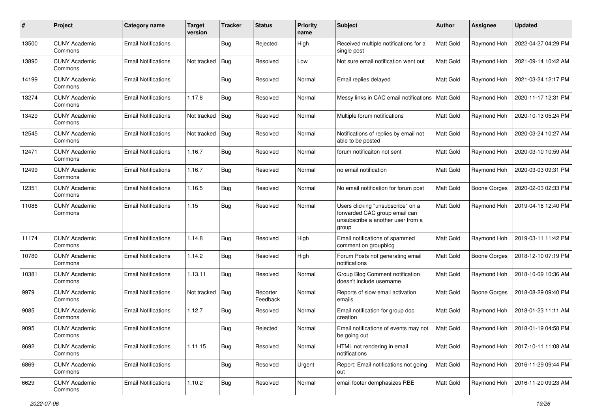| #     | Project                         | Category name              | <b>Target</b><br>version | <b>Tracker</b> | <b>Status</b>        | <b>Priority</b><br>name | Subject                                                                                                          | <b>Author</b>    | Assignee            | <b>Updated</b>      |
|-------|---------------------------------|----------------------------|--------------------------|----------------|----------------------|-------------------------|------------------------------------------------------------------------------------------------------------------|------------------|---------------------|---------------------|
| 13500 | <b>CUNY Academic</b><br>Commons | <b>Email Notifications</b> |                          | Bug            | Rejected             | High                    | Received multiple notifications for a<br>single post                                                             | Matt Gold        | Raymond Hoh         | 2022-04-27 04:29 PM |
| 13890 | <b>CUNY Academic</b><br>Commons | <b>Email Notifications</b> | Not tracked              | Bug            | Resolved             | Low                     | Not sure email notification went out                                                                             | Matt Gold        | Raymond Hoh         | 2021-09-14 10:42 AM |
| 14199 | CUNY Academic<br>Commons        | <b>Email Notifications</b> |                          | Bug            | Resolved             | Normal                  | Email replies delayed                                                                                            | Matt Gold        | Raymond Hoh         | 2021-03-24 12:17 PM |
| 13274 | <b>CUNY Academic</b><br>Commons | <b>Email Notifications</b> | 1.17.8                   | Bug            | Resolved             | Normal                  | Messy links in CAC email notifications                                                                           | <b>Matt Gold</b> | Raymond Hoh         | 2020-11-17 12:31 PM |
| 13429 | <b>CUNY Academic</b><br>Commons | <b>Email Notifications</b> | Not tracked   Bug        |                | Resolved             | Normal                  | Multiple forum notifications                                                                                     | Matt Gold        | Raymond Hoh         | 2020-10-13 05:24 PM |
| 12545 | <b>CUNY Academic</b><br>Commons | <b>Email Notifications</b> | Not tracked              | <b>Bug</b>     | Resolved             | Normal                  | Notifications of replies by email not<br>able to be posted                                                       | Matt Gold        | Raymond Hoh         | 2020-03-24 10:27 AM |
| 12471 | <b>CUNY Academic</b><br>Commons | <b>Email Notifications</b> | 1.16.7                   | Bug            | Resolved             | Normal                  | forum notificaiton not sent                                                                                      | Matt Gold        | Raymond Hoh         | 2020-03-10 10:59 AM |
| 12499 | <b>CUNY Academic</b><br>Commons | <b>Email Notifications</b> | 1.16.7                   | Bug            | Resolved             | Normal                  | no email notification                                                                                            | Matt Gold        | Raymond Hoh         | 2020-03-03 09:31 PM |
| 12351 | <b>CUNY Academic</b><br>Commons | <b>Email Notifications</b> | 1.16.5                   | Bug            | Resolved             | Normal                  | No email notification for forum post                                                                             | Matt Gold        | <b>Boone Gorges</b> | 2020-02-03 02:33 PM |
| 11086 | CUNY Academic<br>Commons        | <b>Email Notifications</b> | 1.15                     | Bug            | Resolved             | Normal                  | Users clicking "unsubscribe" on a<br>forwarded CAC group email can<br>unsubscribe a another user from a<br>group | Matt Gold        | Raymond Hoh         | 2019-04-16 12:40 PM |
| 11174 | <b>CUNY Academic</b><br>Commons | <b>Email Notifications</b> | 1.14.8                   | Bug            | Resolved             | High                    | Email notifications of spammed<br>comment on groupblog                                                           | Matt Gold        | Raymond Hoh         | 2019-03-11 11:42 PM |
| 10789 | <b>CUNY Academic</b><br>Commons | <b>Email Notifications</b> | 1.14.2                   | Bug            | Resolved             | High                    | Forum Posts not generating email<br>notifications                                                                | Matt Gold        | <b>Boone Gorges</b> | 2018-12-10 07:19 PM |
| 10381 | <b>CUNY Academic</b><br>Commons | <b>Email Notifications</b> | 1.13.11                  | <b>Bug</b>     | Resolved             | Normal                  | Group Blog Comment notification<br>doesn't include username                                                      | Matt Gold        | Raymond Hoh         | 2018-10-09 10:36 AM |
| 9979  | <b>CUNY Academic</b><br>Commons | <b>Email Notifications</b> | Not tracked              | Bug            | Reporter<br>Feedback | Normal                  | Reports of slow email activation<br>emails                                                                       | Matt Gold        | <b>Boone Gorges</b> | 2018-08-29 09:40 PM |
| 9085  | <b>CUNY Academic</b><br>Commons | <b>Email Notifications</b> | 1.12.7                   | <b>Bug</b>     | Resolved             | Normal                  | Email notification for group doc<br>creation                                                                     | Matt Gold        | Raymond Hoh         | 2018-01-23 11:11 AM |
| 9095  | <b>CUNY Academic</b><br>Commons | Email Notifications        |                          | <b>Bug</b>     | Rejected             | Normal                  | Email notifications of events may not<br>be going out                                                            | Matt Gold        | Raymond Hoh         | 2018-01-19 04:58 PM |
| 8692  | <b>CUNY Academic</b><br>Commons | <b>Email Notifications</b> | 1.11.15                  | Bug            | Resolved             | Normal                  | HTML not rendering in email<br>notifications                                                                     | Matt Gold        | Raymond Hoh         | 2017-10-11 11:08 AM |
| 6869  | <b>CUNY Academic</b><br>Commons | <b>Email Notifications</b> |                          | <b>Bug</b>     | Resolved             | Urgent                  | Report: Email notifications not going<br>out                                                                     | Matt Gold        | Raymond Hoh         | 2016-11-29 09:44 PM |
| 6629  | <b>CUNY Academic</b><br>Commons | <b>Email Notifications</b> | 1.10.2                   | <b>Bug</b>     | Resolved             | Normal                  | email footer demphasizes RBE                                                                                     | Matt Gold        | Raymond Hoh         | 2016-11-20 09:23 AM |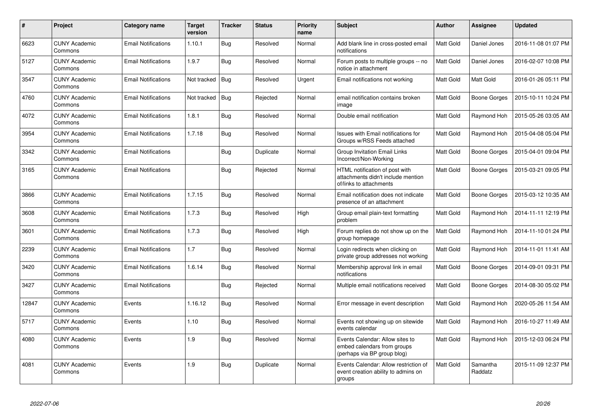| $\pmb{\#}$ | Project                         | Category name              | <b>Target</b><br>version | <b>Tracker</b> | <b>Status</b> | <b>Priority</b><br>name | Subject                                                                                         | <b>Author</b> | Assignee            | <b>Updated</b>      |
|------------|---------------------------------|----------------------------|--------------------------|----------------|---------------|-------------------------|-------------------------------------------------------------------------------------------------|---------------|---------------------|---------------------|
| 6623       | <b>CUNY Academic</b><br>Commons | <b>Email Notifications</b> | 1.10.1                   | <b>Bug</b>     | Resolved      | Normal                  | Add blank line in cross-posted email<br>notifications                                           | Matt Gold     | Daniel Jones        | 2016-11-08 01:07 PM |
| 5127       | <b>CUNY Academic</b><br>Commons | <b>Email Notifications</b> | 1.9.7                    | Bug            | Resolved      | Normal                  | Forum posts to multiple groups -- no<br>notice in attachment                                    | Matt Gold     | Daniel Jones        | 2016-02-07 10:08 PM |
| 3547       | <b>CUNY Academic</b><br>Commons | <b>Email Notifications</b> | Not tracked              | Bug            | Resolved      | Urgent                  | Email notifications not working                                                                 | Matt Gold     | Matt Gold           | 2016-01-26 05:11 PM |
| 4760       | <b>CUNY Academic</b><br>Commons | <b>Email Notifications</b> | Not tracked              | Bug            | Rejected      | Normal                  | email notification contains broken<br>image                                                     | Matt Gold     | Boone Gorges        | 2015-10-11 10:24 PM |
| 4072       | <b>CUNY Academic</b><br>Commons | <b>Email Notifications</b> | 1.8.1                    | Bug            | Resolved      | Normal                  | Double email notification                                                                       | Matt Gold     | Raymond Hoh         | 2015-05-26 03:05 AM |
| 3954       | <b>CUNY Academic</b><br>Commons | <b>Email Notifications</b> | 1.7.18                   | Bug            | Resolved      | Normal                  | Issues with Email notifications for<br>Groups w/RSS Feeds attached                              | Matt Gold     | Raymond Hoh         | 2015-04-08 05:04 PM |
| 3342       | <b>CUNY Academic</b><br>Commons | <b>Email Notifications</b> |                          | <b>Bug</b>     | Duplicate     | Normal                  | <b>Group Invitation Email Links</b><br>Incorrect/Non-Working                                    | Matt Gold     | Boone Gorges        | 2015-04-01 09:04 PM |
| 3165       | <b>CUNY Academic</b><br>Commons | <b>Email Notifications</b> |                          | <b>Bug</b>     | Rejected      | Normal                  | HTML notification of post with<br>attachments didn't include mention<br>of/links to attachments | Matt Gold     | Boone Gorges        | 2015-03-21 09:05 PM |
| 3866       | <b>CUNY Academic</b><br>Commons | <b>Email Notifications</b> | 1.7.15                   | Bug            | Resolved      | Normal                  | Email notification does not indicate<br>presence of an attachment                               | Matt Gold     | Boone Gorges        | 2015-03-12 10:35 AM |
| 3608       | <b>CUNY Academic</b><br>Commons | <b>Email Notifications</b> | 1.7.3                    | Bug            | Resolved      | High                    | Group email plain-text formatting<br>problem                                                    | Matt Gold     | Raymond Hoh         | 2014-11-11 12:19 PM |
| 3601       | <b>CUNY Academic</b><br>Commons | <b>Email Notifications</b> | 1.7.3                    | Bug            | Resolved      | High                    | Forum replies do not show up on the<br>group homepage                                           | Matt Gold     | Raymond Hoh         | 2014-11-10 01:24 PM |
| 2239       | <b>CUNY Academic</b><br>Commons | <b>Email Notifications</b> | 1.7                      | Bug            | Resolved      | Normal                  | Login redirects when clicking on<br>private group addresses not working                         | Matt Gold     | Raymond Hoh         | 2014-11-01 11:41 AM |
| 3420       | <b>CUNY Academic</b><br>Commons | <b>Email Notifications</b> | 1.6.14                   | Bug            | Resolved      | Normal                  | Membership approval link in email<br>notifications                                              | Matt Gold     | Boone Gorges        | 2014-09-01 09:31 PM |
| 3427       | <b>CUNY Academic</b><br>Commons | <b>Email Notifications</b> |                          | Bug            | Rejected      | Normal                  | Multiple email notifications received                                                           | Matt Gold     | <b>Boone Gorges</b> | 2014-08-30 05:02 PM |
| 12847      | <b>CUNY Academic</b><br>Commons | Events                     | 1.16.12                  | Bug            | Resolved      | Normal                  | Error message in event description                                                              | Matt Gold     | Raymond Hoh         | 2020-05-26 11:54 AM |
| 5717       | <b>CUNY Academic</b><br>Commons | Events                     | 1.10                     | Bug            | Resolved      | Normal                  | Events not showing up on sitewide<br>events calendar                                            | Matt Gold     | Raymond Hoh         | 2016-10-27 11:49 AM |
| 4080       | <b>CUNY Academic</b><br>Commons | Events                     | 1.9                      | <b>Bug</b>     | Resolved      | Normal                  | Events Calendar: Allow sites to<br>embed calendars from groups<br>(perhaps via BP group blog)   | Matt Gold     | Raymond Hoh         | 2015-12-03 06:24 PM |
| 4081       | <b>CUNY Academic</b><br>Commons | Events                     | 1.9                      | Bug            | Duplicate     | Normal                  | Events Calendar: Allow restriction of<br>event creation ability to admins on<br>groups          | Matt Gold     | Samantha<br>Raddatz | 2015-11-09 12:37 PM |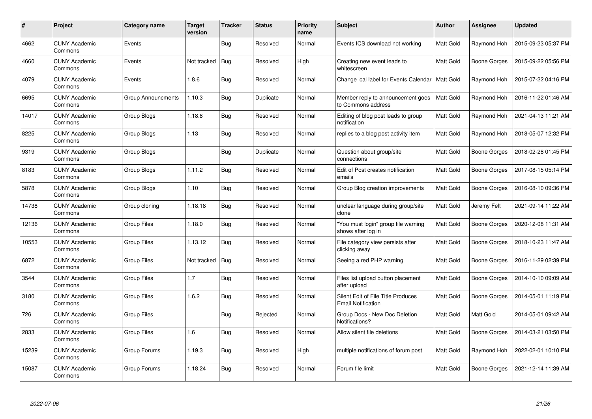| $\#$  | <b>Project</b>                  | Category name      | <b>Target</b><br>version | <b>Tracker</b> | <b>Status</b> | <b>Priority</b><br>name | <b>Subject</b>                                                  | <b>Author</b> | Assignee            | <b>Updated</b>      |
|-------|---------------------------------|--------------------|--------------------------|----------------|---------------|-------------------------|-----------------------------------------------------------------|---------------|---------------------|---------------------|
| 4662  | <b>CUNY Academic</b><br>Commons | Events             |                          | <b>Bug</b>     | Resolved      | Normal                  | Events ICS download not working                                 | Matt Gold     | Raymond Hoh         | 2015-09-23 05:37 PM |
| 4660  | <b>CUNY Academic</b><br>Commons | Events             | Not tracked              | <b>Bug</b>     | Resolved      | High                    | Creating new event leads to<br>whitescreen                      | Matt Gold     | Boone Gorges        | 2015-09-22 05:56 PM |
| 4079  | <b>CUNY Academic</b><br>Commons | Events             | 1.8.6                    | <b>Bug</b>     | Resolved      | Normal                  | Change ical label for Events Calendar                           | Matt Gold     | Raymond Hoh         | 2015-07-22 04:16 PM |
| 6695  | <b>CUNY Academic</b><br>Commons | Group Announcments | 1.10.3                   | <b>Bug</b>     | Duplicate     | Normal                  | Member reply to announcement goes<br>to Commons address         | Matt Gold     | Raymond Hoh         | 2016-11-22 01:46 AM |
| 14017 | <b>CUNY Academic</b><br>Commons | Group Blogs        | 1.18.8                   | <b>Bug</b>     | Resolved      | Normal                  | Editing of blog post leads to group<br>notification             | Matt Gold     | Raymond Hoh         | 2021-04-13 11:21 AM |
| 8225  | <b>CUNY Academic</b><br>Commons | Group Blogs        | 1.13                     | Bug            | Resolved      | Normal                  | replies to a blog post activity item                            | Matt Gold     | Raymond Hoh         | 2018-05-07 12:32 PM |
| 9319  | <b>CUNY Academic</b><br>Commons | Group Blogs        |                          | Bug            | Duplicate     | Normal                  | Question about group/site<br>connections                        | Matt Gold     | Boone Gorges        | 2018-02-28 01:45 PM |
| 8183  | <b>CUNY Academic</b><br>Commons | Group Blogs        | 1.11.2                   | <b>Bug</b>     | Resolved      | Normal                  | Edit of Post creates notification<br>emails                     | Matt Gold     | Boone Gorges        | 2017-08-15 05:14 PM |
| 5878  | <b>CUNY Academic</b><br>Commons | Group Blogs        | 1.10                     | Bug            | Resolved      | Normal                  | Group Blog creation improvements                                | Matt Gold     | Boone Gorges        | 2016-08-10 09:36 PM |
| 14738 | <b>CUNY Academic</b><br>Commons | Group cloning      | 1.18.18                  | Bug            | Resolved      | Normal                  | unclear language during group/site<br>clone                     | Matt Gold     | Jeremy Felt         | 2021-09-14 11:22 AM |
| 12136 | <b>CUNY Academic</b><br>Commons | Group Files        | 1.18.0                   | Bug            | Resolved      | Normal                  | "You must login" group file warning<br>shows after log in       | Matt Gold     | <b>Boone Gorges</b> | 2020-12-08 11:31 AM |
| 10553 | <b>CUNY Academic</b><br>Commons | <b>Group Files</b> | 1.13.12                  | <b>Bug</b>     | Resolved      | Normal                  | File category view persists after<br>clicking away              | Matt Gold     | Boone Gorges        | 2018-10-23 11:47 AM |
| 6872  | <b>CUNY Academic</b><br>Commons | <b>Group Files</b> | Not tracked              | Bug            | Resolved      | Normal                  | Seeing a red PHP warning                                        | Matt Gold     | Boone Gorges        | 2016-11-29 02:39 PM |
| 3544  | <b>CUNY Academic</b><br>Commons | <b>Group Files</b> | 1.7                      | Bug            | Resolved      | Normal                  | Files list upload button placement<br>after upload              | Matt Gold     | Boone Gorges        | 2014-10-10 09:09 AM |
| 3180  | <b>CUNY Academic</b><br>Commons | <b>Group Files</b> | 1.6.2                    | Bug            | Resolved      | Normal                  | Silent Edit of File Title Produces<br><b>Email Notification</b> | Matt Gold     | Boone Gorges        | 2014-05-01 11:19 PM |
| 726   | <b>CUNY Academic</b><br>Commons | <b>Group Files</b> |                          | Bug            | Rejected      | Normal                  | Group Docs - New Doc Deletion<br>Notifications?                 | Matt Gold     | Matt Gold           | 2014-05-01 09:42 AM |
| 2833  | <b>CUNY Academic</b><br>Commons | <b>Group Files</b> | 1.6                      | <b>Bug</b>     | Resolved      | Normal                  | Allow silent file deletions                                     | Matt Gold     | <b>Boone Gorges</b> | 2014-03-21 03:50 PM |
| 15239 | <b>CUNY Academic</b><br>Commons | Group Forums       | 1.19.3                   | Bug            | Resolved      | High                    | multiple notifications of forum post                            | Matt Gold     | Raymond Hoh         | 2022-02-01 10:10 PM |
| 15087 | <b>CUNY Academic</b><br>Commons | Group Forums       | 1.18.24                  | Bug            | Resolved      | Normal                  | Forum file limit                                                | Matt Gold     | <b>Boone Gorges</b> | 2021-12-14 11:39 AM |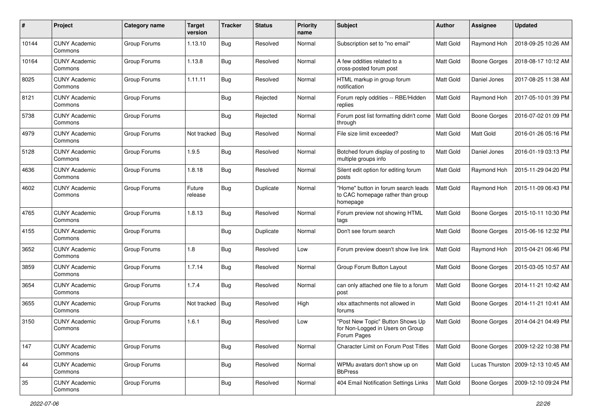| #     | Project                         | Category name | <b>Target</b><br>version | <b>Tracker</b> | <b>Status</b> | <b>Priority</b><br>name | Subject                                                                              | Author           | Assignee            | <b>Updated</b>      |
|-------|---------------------------------|---------------|--------------------------|----------------|---------------|-------------------------|--------------------------------------------------------------------------------------|------------------|---------------------|---------------------|
| 10144 | <b>CUNY Academic</b><br>Commons | Group Forums  | 1.13.10                  | Bug            | Resolved      | Normal                  | Subscription set to "no email"                                                       | Matt Gold        | Raymond Hoh         | 2018-09-25 10:26 AM |
| 10164 | <b>CUNY Academic</b><br>Commons | Group Forums  | 1.13.8                   | Bug            | Resolved      | Normal                  | A few oddities related to a<br>cross-posted forum post                               | Matt Gold        | <b>Boone Gorges</b> | 2018-08-17 10:12 AM |
| 8025  | CUNY Academic<br>Commons        | Group Forums  | 1.11.11                  | Bug            | Resolved      | Normal                  | HTML markup in group forum<br>notification                                           | <b>Matt Gold</b> | Daniel Jones        | 2017-08-25 11:38 AM |
| 8121  | <b>CUNY Academic</b><br>Commons | Group Forums  |                          | Bug            | Rejected      | Normal                  | Forum reply oddities -- RBE/Hidden<br>replies                                        | Matt Gold        | Raymond Hoh         | 2017-05-10 01:39 PM |
| 5738  | <b>CUNY Academic</b><br>Commons | Group Forums  |                          | Bug            | Rejected      | Normal                  | Forum post list formatting didn't come<br>through                                    | Matt Gold        | <b>Boone Gorges</b> | 2016-07-02 01:09 PM |
| 4979  | <b>CUNY Academic</b><br>Commons | Group Forums  | Not tracked              | Bug            | Resolved      | Normal                  | File size limit exceeded?                                                            | Matt Gold        | Matt Gold           | 2016-01-26 05:16 PM |
| 5128  | <b>CUNY Academic</b><br>Commons | Group Forums  | 1.9.5                    | Bug            | Resolved      | Normal                  | Botched forum display of posting to<br>multiple groups info                          | Matt Gold        | Daniel Jones        | 2016-01-19 03:13 PM |
| 4636  | <b>CUNY Academic</b><br>Commons | Group Forums  | 1.8.18                   | Bug            | Resolved      | Normal                  | Silent edit option for editing forum<br>posts                                        | Matt Gold        | Raymond Hoh         | 2015-11-29 04:20 PM |
| 4602  | <b>CUNY Academic</b><br>Commons | Group Forums  | Future<br>release        | Bug            | Duplicate     | Normal                  | "Home" button in forum search leads<br>to CAC homepage rather than group<br>homepage | Matt Gold        | Raymond Hoh         | 2015-11-09 06:43 PM |
| 4765  | <b>CUNY Academic</b><br>Commons | Group Forums  | 1.8.13                   | Bug            | Resolved      | Normal                  | Forum preview not showing HTML<br>tags                                               | Matt Gold        | <b>Boone Gorges</b> | 2015-10-11 10:30 PM |
| 4155  | <b>CUNY Academic</b><br>Commons | Group Forums  |                          | Bug            | Duplicate     | Normal                  | Don't see forum search                                                               | Matt Gold        | <b>Boone Gorges</b> | 2015-06-16 12:32 PM |
| 3652  | <b>CUNY Academic</b><br>Commons | Group Forums  | 1.8                      | Bug            | Resolved      | Low                     | Forum preview doesn't show live link                                                 | Matt Gold        | Raymond Hoh         | 2015-04-21 06:46 PM |
| 3859  | <b>CUNY Academic</b><br>Commons | Group Forums  | 1.7.14                   | Bug            | Resolved      | Normal                  | Group Forum Button Layout                                                            | Matt Gold        | <b>Boone Gorges</b> | 2015-03-05 10:57 AM |
| 3654  | <b>CUNY Academic</b><br>Commons | Group Forums  | 1.7.4                    | Bug            | Resolved      | Normal                  | can only attached one file to a forum<br>post                                        | Matt Gold        | <b>Boone Gorges</b> | 2014-11-21 10:42 AM |
| 3655  | CUNY Academic<br>Commons        | Group Forums  | Not tracked              | Bug            | Resolved      | High                    | xlsx attachments not allowed in<br>forums                                            | Matt Gold        | <b>Boone Gorges</b> | 2014-11-21 10:41 AM |
| 3150  | <b>CUNY Academic</b><br>Commons | Group Forums  | 1.6.1                    | Bug            | Resolved      | Low                     | "Post New Topic" Button Shows Up<br>for Non-Logged in Users on Group<br>Forum Pages  | Matt Gold        | <b>Boone Gorges</b> | 2014-04-21 04:49 PM |
| 147   | <b>CUNY Academic</b><br>Commons | Group Forums  |                          | <b>Bug</b>     | Resolved      | Normal                  | Character Limit on Forum Post Titles                                                 | Matt Gold        | Boone Gorges        | 2009-12-22 10:38 PM |
| 44    | <b>CUNY Academic</b><br>Commons | Group Forums  |                          | <b>Bug</b>     | Resolved      | Normal                  | WPMu avatars don't show up on<br><b>BbPress</b>                                      | Matt Gold        | Lucas Thurston      | 2009-12-13 10:45 AM |
| 35    | <b>CUNY Academic</b><br>Commons | Group Forums  |                          | <b>Bug</b>     | Resolved      | Normal                  | 404 Email Notification Settings Links                                                | Matt Gold        | Boone Gorges        | 2009-12-10 09:24 PM |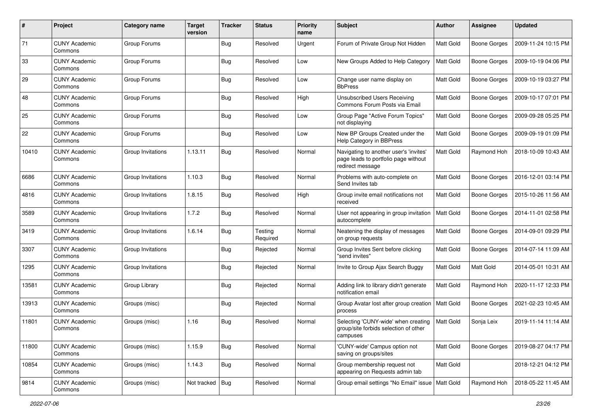| #     | Project                         | <b>Category name</b> | <b>Target</b><br>version | <b>Tracker</b> | <b>Status</b>       | <b>Priority</b><br>name | <b>Subject</b>                                                                                     | <b>Author</b> | <b>Assignee</b>     | <b>Updated</b>      |
|-------|---------------------------------|----------------------|--------------------------|----------------|---------------------|-------------------------|----------------------------------------------------------------------------------------------------|---------------|---------------------|---------------------|
| 71    | <b>CUNY Academic</b><br>Commons | Group Forums         |                          | <b>Bug</b>     | Resolved            | Urgent                  | Forum of Private Group Not Hidden                                                                  | Matt Gold     | <b>Boone Gorges</b> | 2009-11-24 10:15 PM |
| 33    | <b>CUNY Academic</b><br>Commons | Group Forums         |                          | <b>Bug</b>     | Resolved            | Low                     | New Groups Added to Help Category                                                                  | Matt Gold     | <b>Boone Gorges</b> | 2009-10-19 04:06 PM |
| 29    | CUNY Academic<br>Commons        | Group Forums         |                          | Bug            | Resolved            | Low                     | Change user name display on<br><b>BbPress</b>                                                      | Matt Gold     | <b>Boone Gorges</b> | 2009-10-19 03:27 PM |
| 48    | <b>CUNY Academic</b><br>Commons | Group Forums         |                          | Bug            | Resolved            | High                    | Unsubscribed Users Receiving<br>Commons Forum Posts via Email                                      | Matt Gold     | <b>Boone Gorges</b> | 2009-10-17 07:01 PM |
| 25    | <b>CUNY Academic</b><br>Commons | Group Forums         |                          | Bug            | Resolved            | Low                     | Group Page "Active Forum Topics"<br>not displaying                                                 | Matt Gold     | <b>Boone Gorges</b> | 2009-09-28 05:25 PM |
| 22    | <b>CUNY Academic</b><br>Commons | Group Forums         |                          | <b>Bug</b>     | Resolved            | Low                     | New BP Groups Created under the<br>Help Category in BBPress                                        | Matt Gold     | <b>Boone Gorges</b> | 2009-09-19 01:09 PM |
| 10410 | <b>CUNY Academic</b><br>Commons | Group Invitations    | 1.13.11                  | Bug            | Resolved            | Normal                  | Navigating to another user's 'invites'<br>page leads to portfolio page without<br>redirect message | Matt Gold     | Raymond Hoh         | 2018-10-09 10:43 AM |
| 6686  | <b>CUNY Academic</b><br>Commons | Group Invitations    | 1.10.3                   | Bug            | Resolved            | Normal                  | Problems with auto-complete on<br>Send Invites tab                                                 | Matt Gold     | <b>Boone Gorges</b> | 2016-12-01 03:14 PM |
| 4816  | <b>CUNY Academic</b><br>Commons | Group Invitations    | 1.8.15                   | Bug            | Resolved            | High                    | Group invite email notifications not<br>received                                                   | Matt Gold     | <b>Boone Gorges</b> | 2015-10-26 11:56 AM |
| 3589  | <b>CUNY Academic</b><br>Commons | Group Invitations    | 1.7.2                    | Bug            | Resolved            | Normal                  | User not appearing in group invitation<br>autocomplete                                             | Matt Gold     | <b>Boone Gorges</b> | 2014-11-01 02:58 PM |
| 3419  | <b>CUNY Academic</b><br>Commons | Group Invitations    | 1.6.14                   | <b>Bug</b>     | Testing<br>Required | Normal                  | Neatening the display of messages<br>on group requests                                             | Matt Gold     | <b>Boone Gorges</b> | 2014-09-01 09:29 PM |
| 3307  | <b>CUNY Academic</b><br>Commons | Group Invitations    |                          | Bug            | Rejected            | Normal                  | Group Invites Sent before clicking<br>"send invites"                                               | Matt Gold     | <b>Boone Gorges</b> | 2014-07-14 11:09 AM |
| 1295  | <b>CUNY Academic</b><br>Commons | Group Invitations    |                          | <b>Bug</b>     | Rejected            | Normal                  | Invite to Group Ajax Search Buggy                                                                  | Matt Gold     | Matt Gold           | 2014-05-01 10:31 AM |
| 13581 | <b>CUNY Academic</b><br>Commons | Group Library        |                          | <b>Bug</b>     | Rejected            | Normal                  | Adding link to library didn't generate<br>notification email                                       | Matt Gold     | Raymond Hoh         | 2020-11-17 12:33 PM |
| 13913 | <b>CUNY Academic</b><br>Commons | Groups (misc)        |                          | Bug            | Rejected            | Normal                  | Group Avatar lost after group creation<br>process                                                  | Matt Gold     | <b>Boone Gorges</b> | 2021-02-23 10:45 AM |
| 11801 | <b>CUNY Academic</b><br>Commons | Groups (misc)        | 1.16                     | Bug            | Resolved            | Normal                  | Selecting 'CUNY-wide' when creating<br>group/site forbids selection of other<br>campuses           | Matt Gold     | Sonja Leix          | 2019-11-14 11:14 AM |
| 11800 | <b>CUNY Academic</b><br>Commons | Groups (misc)        | 1.15.9                   | <b>Bug</b>     | Resolved            | Normal                  | 'CUNY-wide' Campus option not<br>saving on groups/sites                                            | Matt Gold     | <b>Boone Gorges</b> | 2019-08-27 04:17 PM |
| 10854 | <b>CUNY Academic</b><br>Commons | Groups (misc)        | 1.14.3                   | <b>Bug</b>     | Resolved            | Normal                  | Group membership request not<br>appearing on Requests admin tab                                    | Matt Gold     |                     | 2018-12-21 04:12 PM |
| 9814  | <b>CUNY Academic</b><br>Commons | Groups (misc)        | Not tracked   Bug        |                | Resolved            | Normal                  | Group email settings "No Email" issue   Matt Gold                                                  |               | Raymond Hoh         | 2018-05-22 11:45 AM |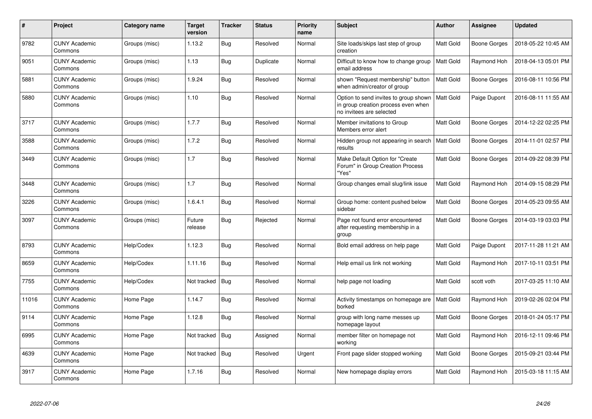| #     | Project                         | Category name | <b>Target</b><br>version | <b>Tracker</b> | <b>Status</b> | <b>Priority</b><br>name | <b>Subject</b>                                                                                           | <b>Author</b>    | Assignee            | <b>Updated</b>      |
|-------|---------------------------------|---------------|--------------------------|----------------|---------------|-------------------------|----------------------------------------------------------------------------------------------------------|------------------|---------------------|---------------------|
| 9782  | <b>CUNY Academic</b><br>Commons | Groups (misc) | 1.13.2                   | Bug            | Resolved      | Normal                  | Site loads/skips last step of group<br>creation                                                          | Matt Gold        | Boone Gorges        | 2018-05-22 10:45 AM |
| 9051  | <b>CUNY Academic</b><br>Commons | Groups (misc) | 1.13                     | <b>Bug</b>     | Duplicate     | Normal                  | Difficult to know how to change group<br>email address                                                   | Matt Gold        | Raymond Hoh         | 2018-04-13 05:01 PM |
| 5881  | <b>CUNY Academic</b><br>Commons | Groups (misc) | 1.9.24                   | Bug            | Resolved      | Normal                  | shown "Request membership" button<br>when admin/creator of group                                         | Matt Gold        | <b>Boone Gorges</b> | 2016-08-11 10:56 PM |
| 5880  | <b>CUNY Academic</b><br>Commons | Groups (misc) | 1.10                     | <b>Bug</b>     | Resolved      | Normal                  | Option to send invites to group shown<br>in group creation process even when<br>no invitees are selected | Matt Gold        | Paige Dupont        | 2016-08-11 11:55 AM |
| 3717  | <b>CUNY Academic</b><br>Commons | Groups (misc) | 1.7.7                    | Bug            | Resolved      | Normal                  | Member invitations to Group<br>Members error alert                                                       | Matt Gold        | <b>Boone Gorges</b> | 2014-12-22 02:25 PM |
| 3588  | <b>CUNY Academic</b><br>Commons | Groups (misc) | 1.7.2                    | <b>Bug</b>     | Resolved      | Normal                  | Hidden group not appearing in search<br>results                                                          | <b>Matt Gold</b> | Boone Gorges        | 2014-11-01 02:57 PM |
| 3449  | <b>CUNY Academic</b><br>Commons | Groups (misc) | 1.7                      | <b>Bug</b>     | Resolved      | Normal                  | Make Default Option for "Create"<br>Forum" in Group Creation Process<br>"Yes"                            | Matt Gold        | <b>Boone Gorges</b> | 2014-09-22 08:39 PM |
| 3448  | <b>CUNY Academic</b><br>Commons | Groups (misc) | 1.7                      | <b>Bug</b>     | Resolved      | Normal                  | Group changes email slug/link issue                                                                      | Matt Gold        | Raymond Hoh         | 2014-09-15 08:29 PM |
| 3226  | <b>CUNY Academic</b><br>Commons | Groups (misc) | 1.6.4.1                  | Bug            | Resolved      | Normal                  | Group home: content pushed below<br>sidebar                                                              | Matt Gold        | Boone Gorges        | 2014-05-23 09:55 AM |
| 3097  | <b>CUNY Academic</b><br>Commons | Groups (misc) | Future<br>release        | Bug            | Rejected      | Normal                  | Page not found error encountered<br>after requesting membership in a<br>group                            | Matt Gold        | <b>Boone Gorges</b> | 2014-03-19 03:03 PM |
| 8793  | <b>CUNY Academic</b><br>Commons | Help/Codex    | 1.12.3                   | Bug            | Resolved      | Normal                  | Bold email address on help page                                                                          | Matt Gold        | Paige Dupont        | 2017-11-28 11:21 AM |
| 8659  | <b>CUNY Academic</b><br>Commons | Help/Codex    | 1.11.16                  | <b>Bug</b>     | Resolved      | Normal                  | Help email us link not working                                                                           | Matt Gold        | Raymond Hoh         | 2017-10-11 03:51 PM |
| 7755  | <b>CUNY Academic</b><br>Commons | Help/Codex    | Not tracked              | <b>Bug</b>     | Resolved      | Normal                  | help page not loading                                                                                    | Matt Gold        | scott voth          | 2017-03-25 11:10 AM |
| 11016 | <b>CUNY Academic</b><br>Commons | Home Page     | 1.14.7                   | <b>Bug</b>     | Resolved      | Normal                  | Activity timestamps on homepage are<br>borked                                                            | Matt Gold        | Raymond Hoh         | 2019-02-26 02:04 PM |
| 9114  | <b>CUNY Academic</b><br>Commons | Home Page     | 1.12.8                   | <b>Bug</b>     | Resolved      | Normal                  | group with long name messes up<br>homepage layout                                                        | Matt Gold        | <b>Boone Gorges</b> | 2018-01-24 05:17 PM |
| 6995  | <b>CUNY Academic</b><br>Commons | Home Page     | Not tracked              | Bug            | Assigned      | Normal                  | member filter on homepage not<br>working                                                                 | Matt Gold        | Raymond Hoh         | 2016-12-11 09:46 PM |
| 4639  | <b>CUNY Academic</b><br>Commons | Home Page     | Not tracked              | <b>Bug</b>     | Resolved      | Urgent                  | Front page slider stopped working                                                                        | Matt Gold        | Boone Gorges        | 2015-09-21 03:44 PM |
| 3917  | <b>CUNY Academic</b><br>Commons | Home Page     | 1.7.16                   | Bug            | Resolved      | Normal                  | New homepage display errors                                                                              | Matt Gold        | Raymond Hoh         | 2015-03-18 11:15 AM |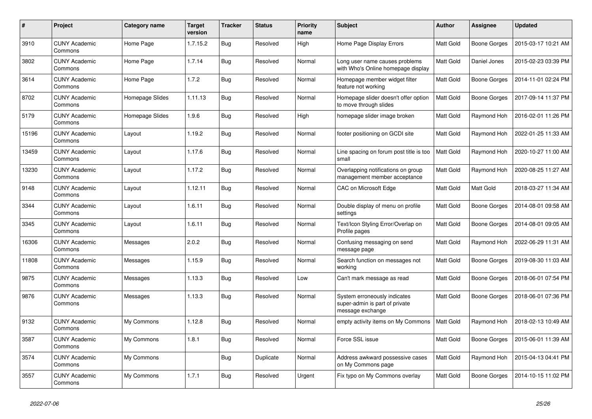| #     | Project                         | <b>Category name</b> | <b>Target</b><br>version | <b>Tracker</b> | <b>Status</b> | Priority<br>name | <b>Subject</b>                                                                     | <b>Author</b> | <b>Assignee</b> | <b>Updated</b>      |
|-------|---------------------------------|----------------------|--------------------------|----------------|---------------|------------------|------------------------------------------------------------------------------------|---------------|-----------------|---------------------|
| 3910  | <b>CUNY Academic</b><br>Commons | Home Page            | 1.7.15.2                 | Bug            | Resolved      | High             | Home Page Display Errors                                                           | Matt Gold     | Boone Gorges    | 2015-03-17 10:21 AM |
| 3802  | <b>CUNY Academic</b><br>Commons | Home Page            | 1.7.14                   | <b>Bug</b>     | Resolved      | Normal           | Long user name causes problems<br>with Who's Online homepage display               | Matt Gold     | Daniel Jones    | 2015-02-23 03:39 PM |
| 3614  | <b>CUNY Academic</b><br>Commons | Home Page            | 1.7.2                    | <b>Bug</b>     | Resolved      | Normal           | Homepage member widget filter<br>feature not working                               | Matt Gold     | Boone Gorges    | 2014-11-01 02:24 PM |
| 8702  | <b>CUNY Academic</b><br>Commons | Homepage Slides      | 1.11.13                  | Bug            | Resolved      | Normal           | Homepage slider doesn't offer option<br>to move through slides                     | Matt Gold     | Boone Gorges    | 2017-09-14 11:37 PM |
| 5179  | <b>CUNY Academic</b><br>Commons | Homepage Slides      | 1.9.6                    | Bug            | Resolved      | High             | homepage slider image broken                                                       | Matt Gold     | Raymond Hoh     | 2016-02-01 11:26 PM |
| 15196 | <b>CUNY Academic</b><br>Commons | Layout               | 1.19.2                   | Bug            | Resolved      | Normal           | footer positioning on GCDI site                                                    | Matt Gold     | Raymond Hoh     | 2022-01-25 11:33 AM |
| 13459 | <b>CUNY Academic</b><br>Commons | Layout               | 1.17.6                   | Bug            | Resolved      | Normal           | Line spacing on forum post title is too<br>small                                   | Matt Gold     | Raymond Hoh     | 2020-10-27 11:00 AM |
| 13230 | <b>CUNY Academic</b><br>Commons | Layout               | 1.17.2                   | <b>Bug</b>     | Resolved      | Normal           | Overlapping notifications on group<br>management member acceptance                 | Matt Gold     | Raymond Hoh     | 2020-08-25 11:27 AM |
| 9148  | <b>CUNY Academic</b><br>Commons | Layout               | 1.12.11                  | <b>Bug</b>     | Resolved      | Normal           | CAC on Microsoft Edge                                                              | Matt Gold     | Matt Gold       | 2018-03-27 11:34 AM |
| 3344  | <b>CUNY Academic</b><br>Commons | Layout               | 1.6.11                   | <b>Bug</b>     | Resolved      | Normal           | Double display of menu on profile<br>settings                                      | Matt Gold     | Boone Gorges    | 2014-08-01 09:58 AM |
| 3345  | <b>CUNY Academic</b><br>Commons | Layout               | 1.6.11                   | Bug            | Resolved      | Normal           | Text/Icon Styling Error/Overlap on<br>Profile pages                                | Matt Gold     | Boone Gorges    | 2014-08-01 09:05 AM |
| 16306 | <b>CUNY Academic</b><br>Commons | Messages             | 2.0.2                    | <b>Bug</b>     | Resolved      | Normal           | Confusing messaging on send<br>message page                                        | Matt Gold     | Raymond Hoh     | 2022-06-29 11:31 AM |
| 11808 | <b>CUNY Academic</b><br>Commons | Messages             | 1.15.9                   | <b>Bug</b>     | Resolved      | Normal           | Search function on messages not<br>working                                         | Matt Gold     | Boone Gorges    | 2019-08-30 11:03 AM |
| 9875  | <b>CUNY Academic</b><br>Commons | Messages             | 1.13.3                   | Bug            | Resolved      | Low              | Can't mark message as read                                                         | Matt Gold     | Boone Gorges    | 2018-06-01 07:54 PM |
| 9876  | <b>CUNY Academic</b><br>Commons | Messages             | 1.13.3                   | Bug            | Resolved      | Normal           | System erroneously indicates<br>super-admin is part of private<br>message exchange | Matt Gold     | Boone Gorges    | 2018-06-01 07:36 PM |
| 9132  | <b>CUNY Academic</b><br>Commons | My Commons           | 1.12.8                   | Bug            | Resolved      | Normal           | empty activity items on My Commons                                                 | Matt Gold     | Raymond Hoh     | 2018-02-13 10:49 AM |
| 3587  | <b>CUNY Academic</b><br>Commons | My Commons           | 1.8.1                    | <b>Bug</b>     | Resolved      | Normal           | Force SSL issue                                                                    | Matt Gold     | Boone Gorges    | 2015-06-01 11:39 AM |
| 3574  | <b>CUNY Academic</b><br>Commons | My Commons           |                          | <b>Bug</b>     | Duplicate     | Normal           | Address awkward possessive cases<br>on My Commons page                             | Matt Gold     | Raymond Hoh     | 2015-04-13 04:41 PM |
| 3557  | <b>CUNY Academic</b><br>Commons | My Commons           | 1.7.1                    | Bug            | Resolved      | Urgent           | Fix typo on My Commons overlay                                                     | Matt Gold     | Boone Gorges    | 2014-10-15 11:02 PM |